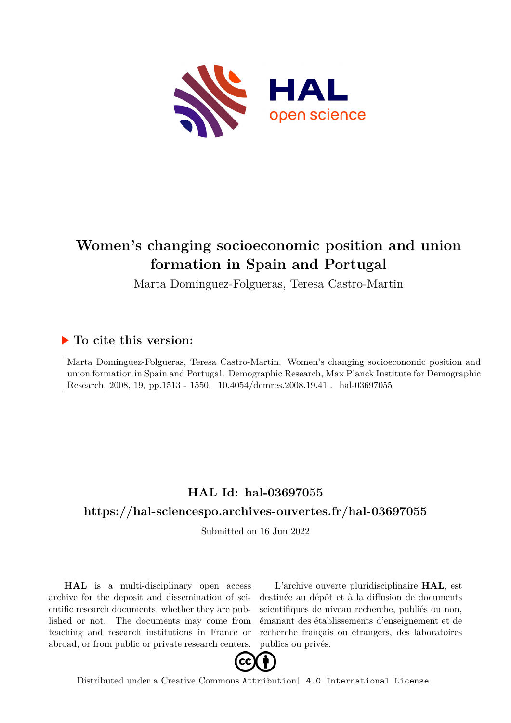

# **Women's changing socioeconomic position and union formation in Spain and Portugal**

Marta Dominguez-Folgueras, Teresa Castro-Martin

## **To cite this version:**

Marta Dominguez-Folgueras, Teresa Castro-Martin. Women's changing socioeconomic position and union formation in Spain and Portugal. Demographic Research, Max Planck Institute for Demographic Research, 2008, 19, pp.1513 - 1550. 10.4054/demres.2008.19.41 . hal-03697055

# **HAL Id: hal-03697055**

### **<https://hal-sciencespo.archives-ouvertes.fr/hal-03697055>**

Submitted on 16 Jun 2022

**HAL** is a multi-disciplinary open access archive for the deposit and dissemination of scientific research documents, whether they are published or not. The documents may come from teaching and research institutions in France or abroad, or from public or private research centers.

L'archive ouverte pluridisciplinaire **HAL**, est destinée au dépôt et à la diffusion de documents scientifiques de niveau recherche, publiés ou non, émanant des établissements d'enseignement et de recherche français ou étrangers, des laboratoires publics ou privés.



Distributed under a Creative Commons [Attribution| 4.0 International License](http://creativecommons.org/licenses/by/4.0/)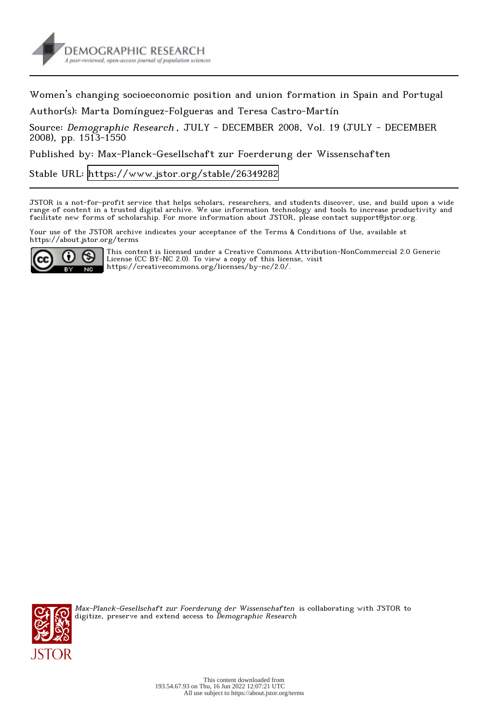

Women's changing socioeconomic position and union formation in Spain and Portugal

Author(s): Marta Domínguez-Folgueras and Teresa Castro-Martín

Source: Demographic Research, JULY - DECEMBER 2008, Vol. 19 (JULY - DECEMBER 2008), pp. 1513-1550

Published by: Max-Planck-Gesellschaft zur Foerderung der Wissenschaften

Stable URL:<https://www.jstor.org/stable/26349282>

JSTOR is a not-for-profit service that helps scholars, researchers, and students discover, use, and build upon a wide range of content in a trusted digital archive. We use information technology and tools to increase productivity and facilitate new forms of scholarship. For more information about JSTOR, please contact support@jstor.org.

Your use of the JSTOR archive indicates your acceptance of the Terms & Conditions of Use, available at https://about.jstor.org/terms



This content is licensed under a Creative Commons Attribution-NonCommercial 2.0 Generic License (CC BY-NC 2.0). To view a copy of this license, visit https://creativecommons.org/licenses/by-nc/2.0/.



Max-Planck-Gesellschaft zur Foerderung der Wissenschaften is collaborating with JSTOR to digitize, preserve and extend access to *Demographic Research*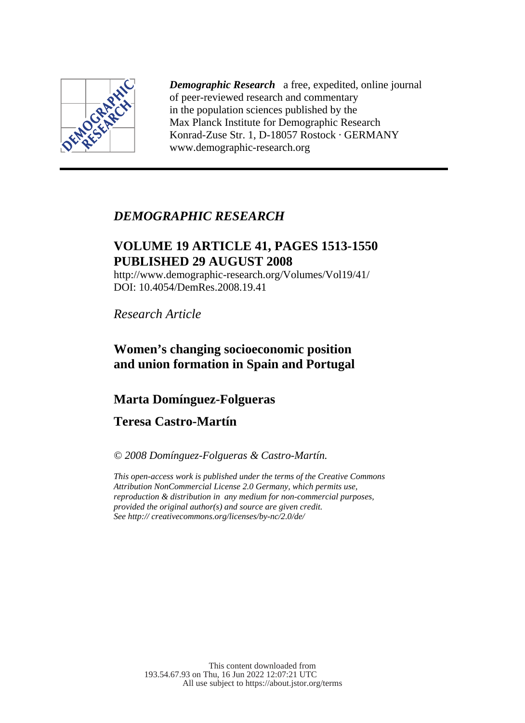

*Demographic Research* a free, expedited, online journal of peer-reviewed research and commentary in the population sciences published by the Max Planck Institute for Demographic Research Konrad-Zuse Str. 1, D-18057 Rostock · GERMANY www.demographic-research.org

### *DEMOGRAPHIC RESEARCH*

### **VOLUME 19 ARTICLE 41, PAGES 1513-1550 PUBLISHED 29 AUGUST 2008**

http://www.demographic-research.org/Volumes/Vol19/41/ DOI: 10.4054/DemRes.2008.19.41

*Research Article* 

### **Women's changing socioeconomic position and union formation in Spain and Portugal**

### **Marta Domínguez-Folgueras**

### **Teresa Castro-Martín**

*© 2008 Domínguez-Folgueras & Castro-Martín.* 

*This open-access work is published under the terms of the Creative Commons Attribution NonCommercial License 2.0 Germany, which permits use, reproduction & distribution in any medium for non-commercial purposes, provided the original author(s) and source are given credit. See http:// creativecommons.org/licenses/by-nc/2.0/de/*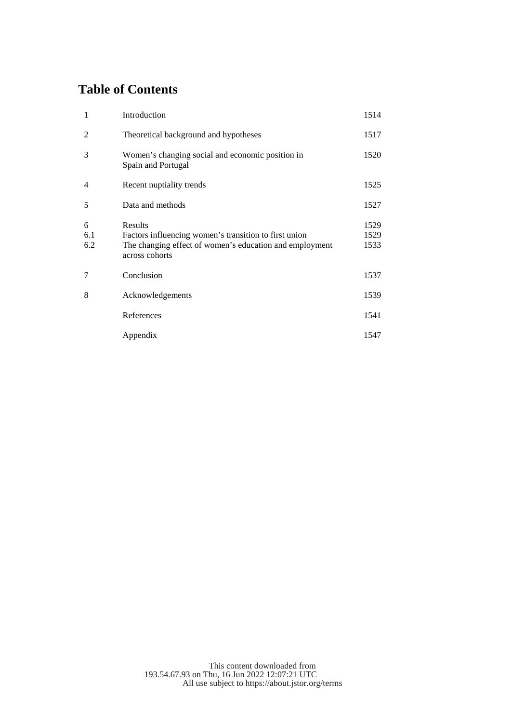### **Table of Contents**

| 1               | Introduction                                                                                                                                  | 1514                 |
|-----------------|-----------------------------------------------------------------------------------------------------------------------------------------------|----------------------|
| $\overline{c}$  | Theoretical background and hypotheses                                                                                                         | 1517                 |
| 3               | Women's changing social and economic position in<br>Spain and Portugal                                                                        | 1520                 |
| $\overline{4}$  | Recent nuptiality trends                                                                                                                      | 1525                 |
| 5               | Data and methods                                                                                                                              | 1527                 |
| 6<br>6.1<br>6.2 | Results<br>Factors influencing women's transition to first union<br>The changing effect of women's education and employment<br>across cohorts | 1529<br>1529<br>1533 |
| 7               | Conclusion                                                                                                                                    | 1537                 |
| 8               | Acknowledgements                                                                                                                              | 1539                 |
|                 | References                                                                                                                                    | 1541                 |
|                 | Appendix                                                                                                                                      | 1547                 |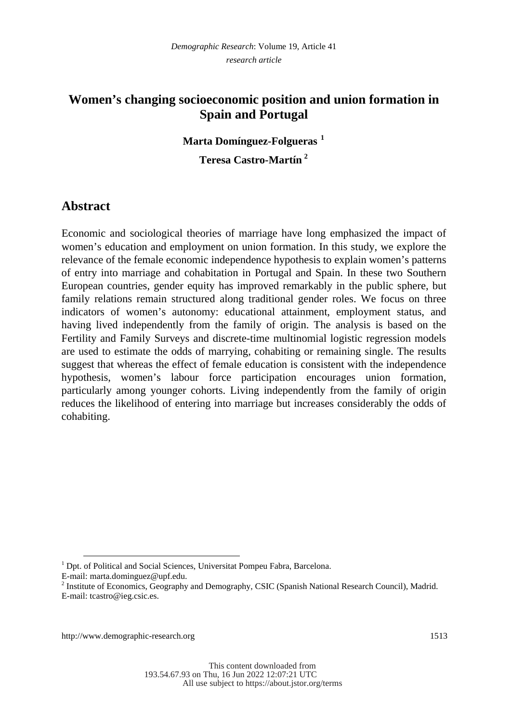### **Women's changing socioeconomic position and union formation in Spain and Portugal**

#### **Marta Domínguez-Folgueras <sup>1</sup>**

**Teresa Castro-Martín <sup>2</sup>**

### **Abstract**

Economic and sociological theories of marriage have long emphasized the impact of women's education and employment on union formation. In this study, we explore the relevance of the female economic independence hypothesis to explain women's patterns of entry into marriage and cohabitation in Portugal and Spain. In these two Southern European countries, gender equity has improved remarkably in the public sphere, but family relations remain structured along traditional gender roles. We focus on three indicators of women's autonomy: educational attainment, employment status, and having lived independently from the family of origin. The analysis is based on the Fertility and Family Surveys and discrete-time multinomial logistic regression models are used to estimate the odds of marrying, cohabiting or remaining single. The results suggest that whereas the effect of female education is consistent with the independence hypothesis, women's labour force participation encourages union formation, particularly among younger cohorts. Living independently from the family of origin reduces the likelihood of entering into marriage but increases considerably the odds of cohabiting.

-

<sup>&</sup>lt;sup>1</sup> Dpt. of Political and Social Sciences, Universitat Pompeu Fabra, Barcelona.

E-mail: marta.dominguez@upf.edu.

<sup>&</sup>lt;sup>2</sup> Institute of Economics, Geography and Demography, CSIC (Spanish National Research Council), Madrid. E-mail: tcastro@ieg.csic.es.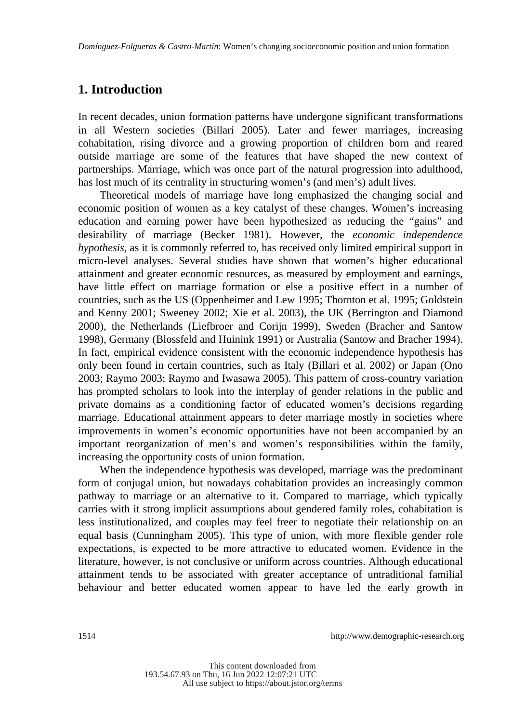### **1. Introduction**

In recent decades, union formation patterns have undergone significant transformations in all Western societies (Billari 2005). Later and fewer marriages, increasing cohabitation, rising divorce and a growing proportion of children born and reared outside marriage are some of the features that have shaped the new context of partnerships. Marriage, which was once part of the natural progression into adulthood, has lost much of its centrality in structuring women's (and men's) adult lives.

Theoretical models of marriage have long emphasized the changing social and economic position of women as a key catalyst of these changes. Women's increasing education and earning power have been hypothesized as reducing the "gains" and desirability of marriage (Becker 1981). However, the *economic independence hypothesis*, as it is commonly referred to, has received only limited empirical support in micro-level analyses. Several studies have shown that women's higher educational attainment and greater economic resources, as measured by employment and earnings, have little effect on marriage formation or else a positive effect in a number of countries, such as the US (Oppenheimer and Lew 1995; Thornton et al. 1995; Goldstein and Kenny 2001; Sweeney 2002; Xie et al. 2003), the UK (Berrington and Diamond 2000), the Netherlands (Liefbroer and Corijn 1999), Sweden (Bracher and Santow 1998), Germany (Blossfeld and Huinink 1991) or Australia (Santow and Bracher 1994). In fact, empirical evidence consistent with the economic independence hypothesis has only been found in certain countries, such as Italy (Billari et al. 2002) or Japan (Ono 2003; Raymo 2003; Raymo and Iwasawa 2005). This pattern of cross-country variation has prompted scholars to look into the interplay of gender relations in the public and private domains as a conditioning factor of educated women's decisions regarding marriage. Educational attainment appears to deter marriage mostly in societies where improvements in women's economic opportunities have not been accompanied by an important reorganization of men's and women's responsibilities within the family, increasing the opportunity costs of union formation.

When the independence hypothesis was developed, marriage was the predominant form of conjugal union, but nowadays cohabitation provides an increasingly common pathway to marriage or an alternative to it. Compared to marriage, which typically carries with it strong implicit assumptions about gendered family roles, cohabitation is less institutionalized, and couples may feel freer to negotiate their relationship on an equal basis (Cunningham 2005). This type of union, with more flexible gender role expectations, is expected to be more attractive to educated women. Evidence in the literature, however, is not conclusive or uniform across countries. Although educational attainment tends to be associated with greater acceptance of untraditional familial behaviour and better educated women appear to have led the early growth in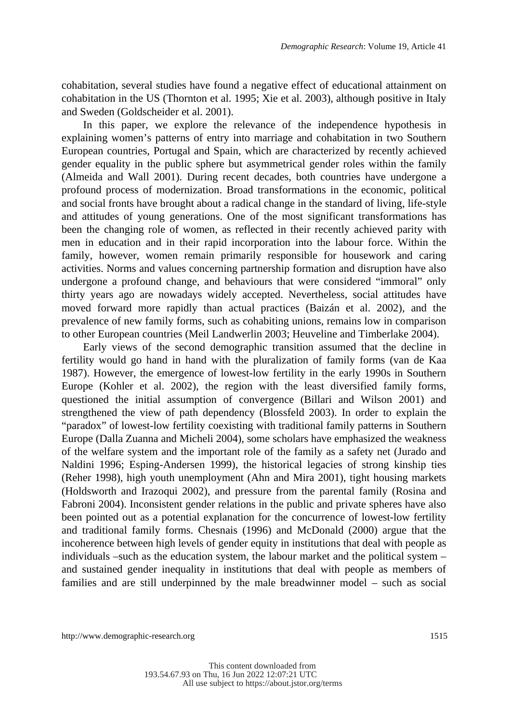cohabitation, several studies have found a negative effect of educational attainment on cohabitation in the US (Thornton et al. 1995; Xie et al. 2003), although positive in Italy and Sweden (Goldscheider et al. 2001).

In this paper, we explore the relevance of the independence hypothesis in explaining women's patterns of entry into marriage and cohabitation in two Southern European countries, Portugal and Spain, which are characterized by recently achieved gender equality in the public sphere but asymmetrical gender roles within the family (Almeida and Wall 2001). During recent decades, both countries have undergone a profound process of modernization. Broad transformations in the economic, political and social fronts have brought about a radical change in the standard of living, life-style and attitudes of young generations. One of the most significant transformations has been the changing role of women, as reflected in their recently achieved parity with men in education and in their rapid incorporation into the labour force. Within the family, however, women remain primarily responsible for housework and caring activities. Norms and values concerning partnership formation and disruption have also undergone a profound change, and behaviours that were considered "immoral" only thirty years ago are nowadays widely accepted. Nevertheless, social attitudes have moved forward more rapidly than actual practices (Baizán et al. 2002), and the prevalence of new family forms, such as cohabiting unions, remains low in comparison to other European countries (Meil Landwerlin 2003; Heuveline and Timberlake 2004).

Early views of the second demographic transition assumed that the decline in fertility would go hand in hand with the pluralization of family forms (van de Kaa 1987). However, the emergence of lowest-low fertility in the early 1990s in Southern Europe (Kohler et al. 2002), the region with the least diversified family forms, questioned the initial assumption of convergence (Billari and Wilson 2001) and strengthened the view of path dependency (Blossfeld 2003). In order to explain the "paradox" of lowest-low fertility coexisting with traditional family patterns in Southern Europe (Dalla Zuanna and Micheli 2004), some scholars have emphasized the weakness of the welfare system and the important role of the family as a safety net (Jurado and Naldini 1996; Esping-Andersen 1999), the historical legacies of strong kinship ties (Reher 1998), high youth unemployment (Ahn and Mira 2001), tight housing markets (Holdsworth and Irazoqui 2002), and pressure from the parental family (Rosina and Fabroni 2004). Inconsistent gender relations in the public and private spheres have also been pointed out as a potential explanation for the concurrence of lowest-low fertility and traditional family forms. Chesnais (1996) and McDonald (2000) argue that the incoherence between high levels of gender equity in institutions that deal with people as individuals –such as the education system, the labour market and the political system – and sustained gender inequality in institutions that deal with people as members of families and are still underpinned by the male breadwinner model – such as social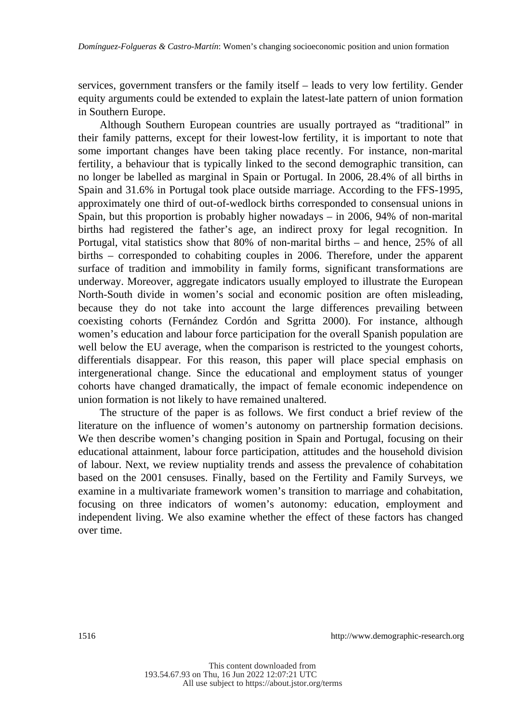services, government transfers or the family itself – leads to very low fertility. Gender equity arguments could be extended to explain the latest-late pattern of union formation in Southern Europe.

Although Southern European countries are usually portrayed as "traditional" in their family patterns, except for their lowest-low fertility, it is important to note that some important changes have been taking place recently. For instance, non-marital fertility, a behaviour that is typically linked to the second demographic transition, can no longer be labelled as marginal in Spain or Portugal. In 2006, 28.4% of all births in Spain and 31.6% in Portugal took place outside marriage. According to the FFS-1995, approximately one third of out-of-wedlock births corresponded to consensual unions in Spain, but this proportion is probably higher nowadays – in 2006, 94% of non-marital births had registered the father's age, an indirect proxy for legal recognition. In Portugal, vital statistics show that 80% of non-marital births – and hence, 25% of all births – corresponded to cohabiting couples in 2006. Therefore, under the apparent surface of tradition and immobility in family forms, significant transformations are underway. Moreover, aggregate indicators usually employed to illustrate the European North-South divide in women's social and economic position are often misleading, because they do not take into account the large differences prevailing between coexisting cohorts (Fernández Cordón and Sgritta 2000). For instance, although women's education and labour force participation for the overall Spanish population are well below the EU average, when the comparison is restricted to the youngest cohorts, differentials disappear. For this reason, this paper will place special emphasis on intergenerational change. Since the educational and employment status of younger cohorts have changed dramatically, the impact of female economic independence on union formation is not likely to have remained unaltered.

The structure of the paper is as follows. We first conduct a brief review of the literature on the influence of women's autonomy on partnership formation decisions. We then describe women's changing position in Spain and Portugal, focusing on their educational attainment, labour force participation, attitudes and the household division of labour. Next, we review nuptiality trends and assess the prevalence of cohabitation based on the 2001 censuses. Finally, based on the Fertility and Family Surveys, we examine in a multivariate framework women's transition to marriage and cohabitation, focusing on three indicators of women's autonomy: education, employment and independent living. We also examine whether the effect of these factors has changed over time.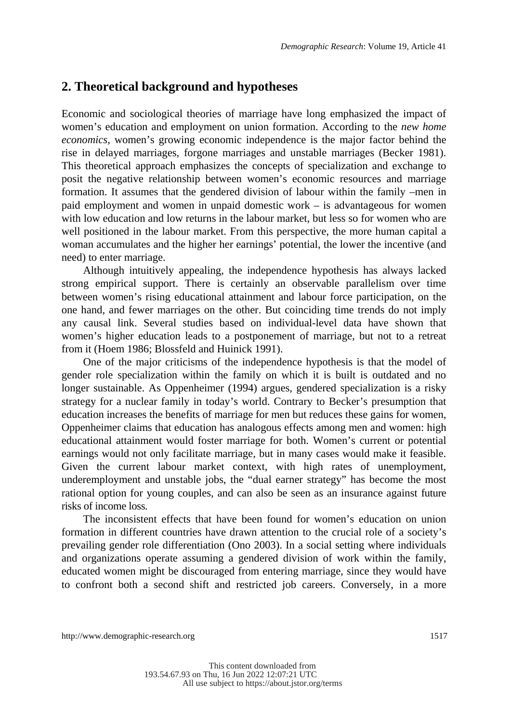#### **2. Theoretical background and hypotheses**

Economic and sociological theories of marriage have long emphasized the impact of women's education and employment on union formation. According to the *new home economics*, women's growing economic independence is the major factor behind the rise in delayed marriages, forgone marriages and unstable marriages (Becker 1981). This theoretical approach emphasizes the concepts of specialization and exchange to posit the negative relationship between women's economic resources and marriage formation. It assumes that the gendered division of labour within the family –men in paid employment and women in unpaid domestic work – is advantageous for women with low education and low returns in the labour market, but less so for women who are well positioned in the labour market. From this perspective, the more human capital a woman accumulates and the higher her earnings' potential, the lower the incentive (and need) to enter marriage.

Although intuitively appealing, the independence hypothesis has always lacked strong empirical support. There is certainly an observable parallelism over time between women's rising educational attainment and labour force participation, on the one hand, and fewer marriages on the other. But coinciding time trends do not imply any causal link. Several studies based on individual-level data have shown that women's higher education leads to a postponement of marriage, but not to a retreat from it (Hoem 1986; Blossfeld and Huinick 1991).

One of the major criticisms of the independence hypothesis is that the model of gender role specialization within the family on which it is built is outdated and no longer sustainable. As Oppenheimer (1994) argues, gendered specialization is a risky strategy for a nuclear family in today's world. Contrary to Becker's presumption that education increases the benefits of marriage for men but reduces these gains for women, Oppenheimer claims that education has analogous effects among men and women: high educational attainment would foster marriage for both. Women's current or potential earnings would not only facilitate marriage, but in many cases would make it feasible. Given the current labour market context, with high rates of unemployment, underemployment and unstable jobs, the "dual earner strategy" has become the most rational option for young couples, and can also be seen as an insurance against future risks of income loss.

The inconsistent effects that have been found for women's education on union formation in different countries have drawn attention to the crucial role of a society's prevailing gender role differentiation (Ono 2003). In a social setting where individuals and organizations operate assuming a gendered division of work within the family, educated women might be discouraged from entering marriage, since they would have to confront both a second shift and restricted job careers. Conversely, in a more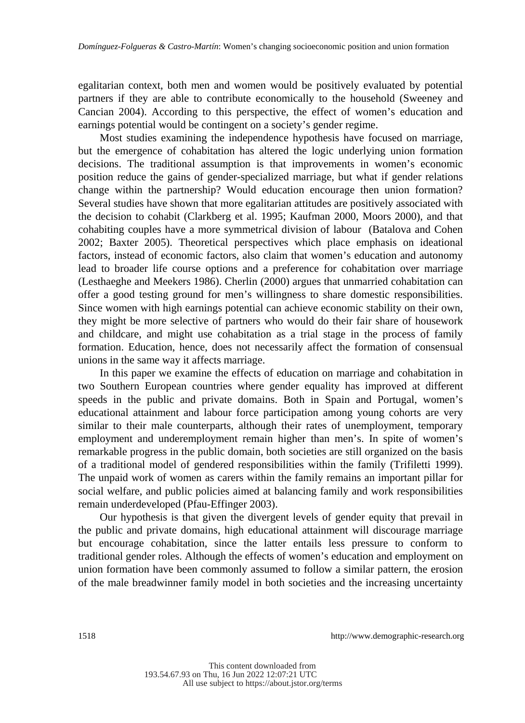egalitarian context, both men and women would be positively evaluated by potential partners if they are able to contribute economically to the household (Sweeney and Cancian 2004). According to this perspective, the effect of women's education and earnings potential would be contingent on a society's gender regime.

Most studies examining the independence hypothesis have focused on marriage, but the emergence of cohabitation has altered the logic underlying union formation decisions. The traditional assumption is that improvements in women's economic position reduce the gains of gender-specialized marriage, but what if gender relations change within the partnership? Would education encourage then union formation? Several studies have shown that more egalitarian attitudes are positively associated with the decision to cohabit (Clarkberg et al. 1995; Kaufman 2000, Moors 2000), and that cohabiting couples have a more symmetrical division of labour (Batalova and Cohen 2002; Baxter 2005). Theoretical perspectives which place emphasis on ideational factors, instead of economic factors, also claim that women's education and autonomy lead to broader life course options and a preference for cohabitation over marriage (Lesthaeghe and Meekers 1986). Cherlin (2000) argues that unmarried cohabitation can offer a good testing ground for men's willingness to share domestic responsibilities. Since women with high earnings potential can achieve economic stability on their own, they might be more selective of partners who would do their fair share of housework and childcare, and might use cohabitation as a trial stage in the process of family formation. Education, hence, does not necessarily affect the formation of consensual unions in the same way it affects marriage.

In this paper we examine the effects of education on marriage and cohabitation in two Southern European countries where gender equality has improved at different speeds in the public and private domains. Both in Spain and Portugal, women's educational attainment and labour force participation among young cohorts are very similar to their male counterparts, although their rates of unemployment, temporary employment and underemployment remain higher than men's. In spite of women's remarkable progress in the public domain, both societies are still organized on the basis of a traditional model of gendered responsibilities within the family (Trifiletti 1999). The unpaid work of women as carers within the family remains an important pillar for social welfare, and public policies aimed at balancing family and work responsibilities remain underdeveloped (Pfau-Effinger 2003).

Our hypothesis is that given the divergent levels of gender equity that prevail in the public and private domains, high educational attainment will discourage marriage but encourage cohabitation, since the latter entails less pressure to conform to traditional gender roles. Although the effects of women's education and employment on union formation have been commonly assumed to follow a similar pattern, the erosion of the male breadwinner family model in both societies and the increasing uncertainty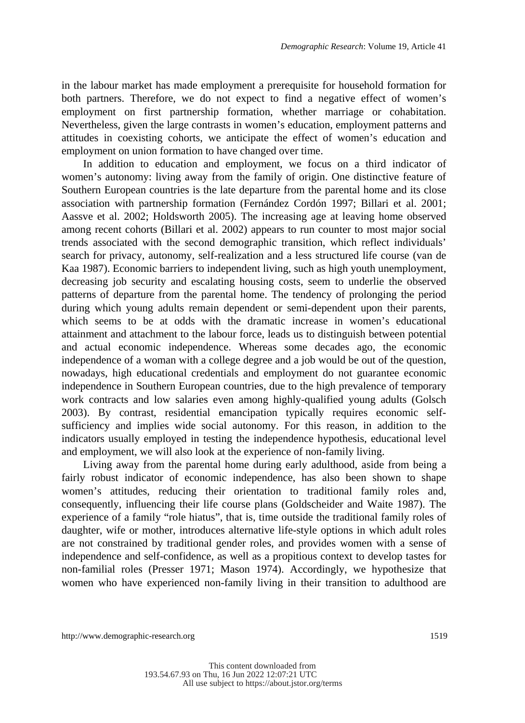in the labour market has made employment a prerequisite for household formation for both partners. Therefore, we do not expect to find a negative effect of women's employment on first partnership formation, whether marriage or cohabitation. Nevertheless, given the large contrasts in women's education, employment patterns and attitudes in coexisting cohorts, we anticipate the effect of women's education and employment on union formation to have changed over time.

In addition to education and employment, we focus on a third indicator of women's autonomy: living away from the family of origin. One distinctive feature of Southern European countries is the late departure from the parental home and its close association with partnership formation (Fernández Cordón 1997; Billari et al. 2001; Aassve et al. 2002; Holdsworth 2005). The increasing age at leaving home observed among recent cohorts (Billari et al. 2002) appears to run counter to most major social trends associated with the second demographic transition, which reflect individuals' search for privacy, autonomy, self-realization and a less structured life course (van de Kaa 1987). Economic barriers to independent living, such as high youth unemployment, decreasing job security and escalating housing costs, seem to underlie the observed patterns of departure from the parental home. The tendency of prolonging the period during which young adults remain dependent or semi-dependent upon their parents, which seems to be at odds with the dramatic increase in women's educational attainment and attachment to the labour force, leads us to distinguish between potential and actual economic independence. Whereas some decades ago, the economic independence of a woman with a college degree and a job would be out of the question, nowadays, high educational credentials and employment do not guarantee economic independence in Southern European countries, due to the high prevalence of temporary work contracts and low salaries even among highly-qualified young adults (Golsch 2003). By contrast, residential emancipation typically requires economic selfsufficiency and implies wide social autonomy. For this reason, in addition to the indicators usually employed in testing the independence hypothesis, educational level and employment, we will also look at the experience of non-family living.

Living away from the parental home during early adulthood, aside from being a fairly robust indicator of economic independence, has also been shown to shape women's attitudes, reducing their orientation to traditional family roles and, consequently, influencing their life course plans (Goldscheider and Waite 1987). The experience of a family "role hiatus", that is, time outside the traditional family roles of daughter, wife or mother, introduces alternative life-style options in which adult roles are not constrained by traditional gender roles, and provides women with a sense of independence and self-confidence, as well as a propitious context to develop tastes for non-familial roles (Presser 1971; Mason 1974). Accordingly, we hypothesize that women who have experienced non-family living in their transition to adulthood are

http://www.demographic-research.org 1519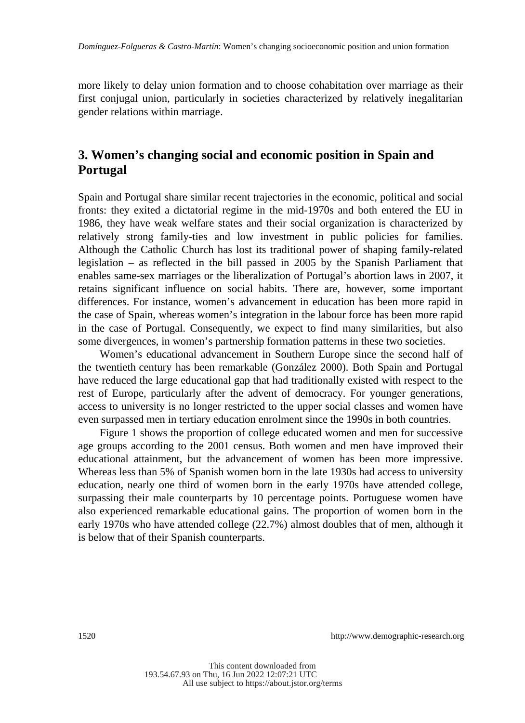more likely to delay union formation and to choose cohabitation over marriage as their first conjugal union, particularly in societies characterized by relatively inegalitarian gender relations within marriage.

### **3. Women's changing social and economic position in Spain and Portugal**

Spain and Portugal share similar recent trajectories in the economic, political and social fronts: they exited a dictatorial regime in the mid-1970s and both entered the EU in 1986, they have weak welfare states and their social organization is characterized by relatively strong family-ties and low investment in public policies for families. Although the Catholic Church has lost its traditional power of shaping family-related legislation – as reflected in the bill passed in 2005 by the Spanish Parliament that enables same-sex marriages or the liberalization of Portugal's abortion laws in 2007, it retains significant influence on social habits. There are, however, some important differences. For instance, women's advancement in education has been more rapid in the case of Spain, whereas women's integration in the labour force has been more rapid in the case of Portugal. Consequently, we expect to find many similarities, but also some divergences, in women's partnership formation patterns in these two societies.

Women's educational advancement in Southern Europe since the second half of the twentieth century has been remarkable (González 2000). Both Spain and Portugal have reduced the large educational gap that had traditionally existed with respect to the rest of Europe, particularly after the advent of democracy. For younger generations, access to university is no longer restricted to the upper social classes and women have even surpassed men in tertiary education enrolment since the 1990s in both countries.

Figure 1 shows the proportion of college educated women and men for successive age groups according to the 2001 census. Both women and men have improved their educational attainment, but the advancement of women has been more impressive. Whereas less than 5% of Spanish women born in the late 1930s had access to university education, nearly one third of women born in the early 1970s have attended college, surpassing their male counterparts by 10 percentage points. Portuguese women have also experienced remarkable educational gains. The proportion of women born in the early 1970s who have attended college (22.7%) almost doubles that of men, although it is below that of their Spanish counterparts.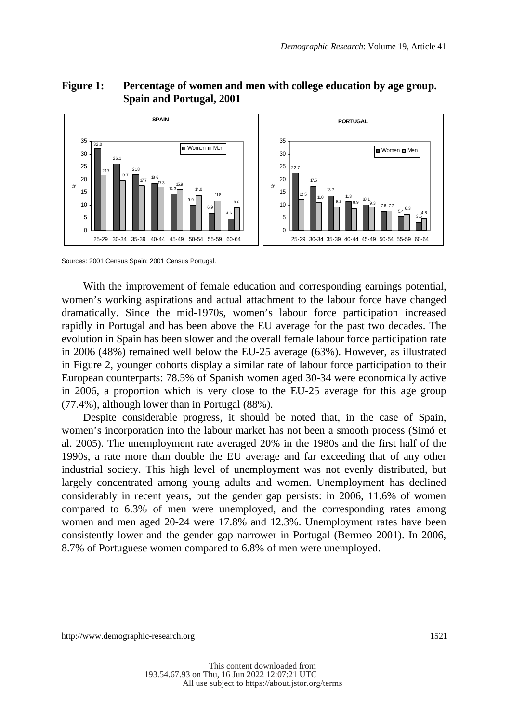#### **SPAIN** 26.1 21.8 18.6 15.9 14.0 11.8 9.0 4.6 6.9 9.9 14.3 32.0 17.7 19.7 17.3 21.7  $\Omega$ 5 10 15 20 25 30 35 25-29 30-34 35-39 40-44 45-49 50-54 55-59 60-64 %Women m Men **PORTUGAL** 17.5 13.7  $\frac{11.3}{2}$  10.1 7.6 5.4  $3.5 -$ 22.7  $\overline{1}^{2.5}$   $\overline{1}^{10}$   $\overline{1}^{9.2}$   $\overline{1}^{8.9}$   $\overline{1}^{0.1}$   $\overline{1}^{3}$   $\overline{7}^{6}$   $\overline{7}^{7}$   $\overline{5}$   $\overline{6}$   $\overline{2}^{7}$   $\overline{5}$   $\overline{6}$   $\overline{3}$  $\Omega$ 5 10 15 20 25 30 35 25-29 30-34 35-39 40-44 45-49 50-54 55-59 60-64 %**Women** Men

#### **Figure 1: Percentage of women and men with college education by age group. Spain and Portugal, 2001**

Sources: 2001 Census Spain; 2001 Census Portugal.

With the improvement of female education and corresponding earnings potential, women's working aspirations and actual attachment to the labour force have changed dramatically. Since the mid-1970s, women's labour force participation increased rapidly in Portugal and has been above the EU average for the past two decades. The evolution in Spain has been slower and the overall female labour force participation rate in 2006 (48%) remained well below the EU-25 average (63%). However, as illustrated in Figure 2, younger cohorts display a similar rate of labour force participation to their European counterparts: 78.5% of Spanish women aged 30-34 were economically active in 2006, a proportion which is very close to the EU-25 average for this age group (77.4%), although lower than in Portugal (88%).

Despite considerable progress, it should be noted that, in the case of Spain, women's incorporation into the labour market has not been a smooth process (Simó et al. 2005). The unemployment rate averaged 20% in the 1980s and the first half of the 1990s, a rate more than double the EU average and far exceeding that of any other industrial society. This high level of unemployment was not evenly distributed, but largely concentrated among young adults and women. Unemployment has declined considerably in recent years, but the gender gap persists: in 2006, 11.6% of women compared to 6.3% of men were unemployed, and the corresponding rates among women and men aged 20-24 were 17.8% and 12.3%. Unemployment rates have been consistently lower and the gender gap narrower in Portugal (Bermeo 2001). In 2006, 8.7% of Portuguese women compared to 6.8% of men were unemployed.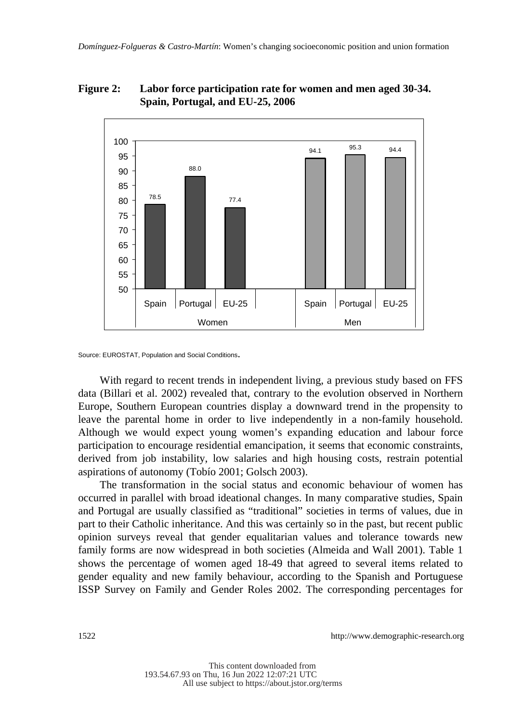#### **Figure 2: Labor force participation rate for women and men aged 30-34. Spain, Portugal, and EU-25, 2006**



Source: EUROSTAT, Population and Social Conditions.

With regard to recent trends in independent living, a previous study based on FFS data (Billari et al. 2002) revealed that, contrary to the evolution observed in Northern Europe, Southern European countries display a downward trend in the propensity to leave the parental home in order to live independently in a non-family household. Although we would expect young women's expanding education and labour force participation to encourage residential emancipation, it seems that economic constraints, derived from job instability, low salaries and high housing costs, restrain potential aspirations of autonomy (Tobío 2001; Golsch 2003).

The transformation in the social status and economic behaviour of women has occurred in parallel with broad ideational changes. In many comparative studies, Spain and Portugal are usually classified as "traditional" societies in terms of values, due in part to their Catholic inheritance. And this was certainly so in the past, but recent public opinion surveys reveal that gender equalitarian values and tolerance towards new family forms are now widespread in both societies (Almeida and Wall 2001). Table 1 shows the percentage of women aged 18-49 that agreed to several items related to gender equality and new family behaviour, according to the Spanish and Portuguese ISSP Survey on Family and Gender Roles 2002. The corresponding percentages for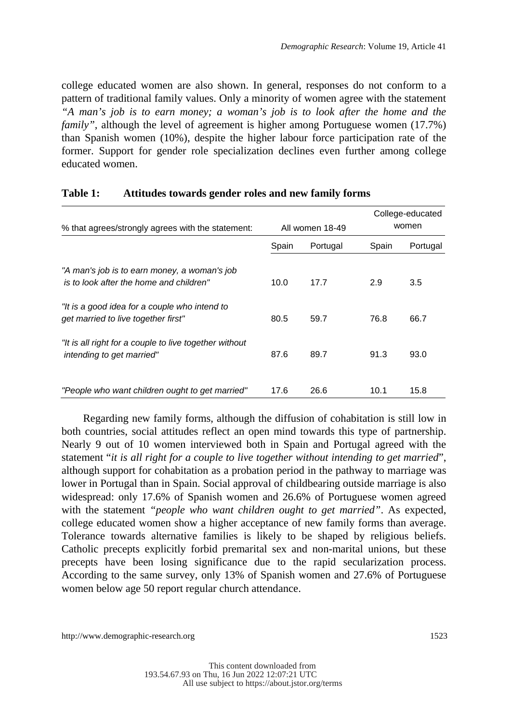college educated women are also shown. In general, responses do not conform to a pattern of traditional family values. Only a minority of women agree with the statement *"A man's job is to earn money; a woman's job is to look after the home and the family*", although the level of agreement is higher among Portuguese women (17.7%) than Spanish women (10%), despite the higher labour force participation rate of the former. Support for gender role specialization declines even further among college educated women.

| % that agrees/strongly agrees with the statement:                                       |                   | All women 18-49 |       | College-educated<br>women |
|-----------------------------------------------------------------------------------------|-------------------|-----------------|-------|---------------------------|
|                                                                                         | Spain<br>Portugal |                 | Spain | Portugal                  |
| "A man's job is to earn money, a woman's job<br>is to look after the home and children" | 10.0              | 17.7            | 2.9   | 3.5                       |
| "It is a good idea for a couple who intend to<br>get married to live together first"    | 80.5              | 59.7            | 76.8  | 66.7                      |
| "It is all right for a couple to live together without<br>intending to get married"     | 87.6              | 89.7            | 91.3  | 93.0                      |
| "People who want children ought to get married"                                         | 17.6              | 26.6            | 10.1  | 15.8                      |

#### **Table 1: Attitudes towards gender roles and new family forms**

Regarding new family forms, although the diffusion of cohabitation is still low in both countries, social attitudes reflect an open mind towards this type of partnership. Nearly 9 out of 10 women interviewed both in Spain and Portugal agreed with the statement "*it is all right for a couple to live together without intending to get married*", although support for cohabitation as a probation period in the pathway to marriage was lower in Portugal than in Spain. Social approval of childbearing outside marriage is also widespread: only 17.6% of Spanish women and 26.6% of Portuguese women agreed with the statement *"people who want children ought to get married"*. As expected, college educated women show a higher acceptance of new family forms than average. Tolerance towards alternative families is likely to be shaped by religious beliefs. Catholic precepts explicitly forbid premarital sex and non-marital unions, but these precepts have been losing significance due to the rapid secularization process. According to the same survey, only 13% of Spanish women and 27.6% of Portuguese women below age 50 report regular church attendance.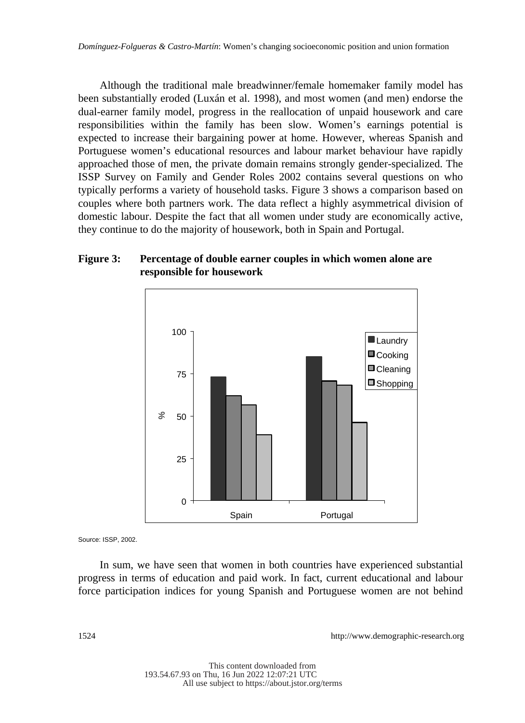Although the traditional male breadwinner/female homemaker family model has been substantially eroded (Luxán et al. 1998), and most women (and men) endorse the dual-earner family model, progress in the reallocation of unpaid housework and care responsibilities within the family has been slow. Women's earnings potential is expected to increase their bargaining power at home. However, whereas Spanish and Portuguese women's educational resources and labour market behaviour have rapidly approached those of men, the private domain remains strongly gender-specialized. The ISSP Survey on Family and Gender Roles 2002 contains several questions on who typically performs a variety of household tasks. Figure 3 shows a comparison based on couples where both partners work. The data reflect a highly asymmetrical division of domestic labour. Despite the fact that all women under study are economically active, they continue to do the majority of housework, both in Spain and Portugal.

#### **Figure 3: Percentage of double earner couples in which women alone are responsible for housework**



Source: ISSP, 2002.

In sum, we have seen that women in both countries have experienced substantial progress in terms of education and paid work. In fact, current educational and labour force participation indices for young Spanish and Portuguese women are not behind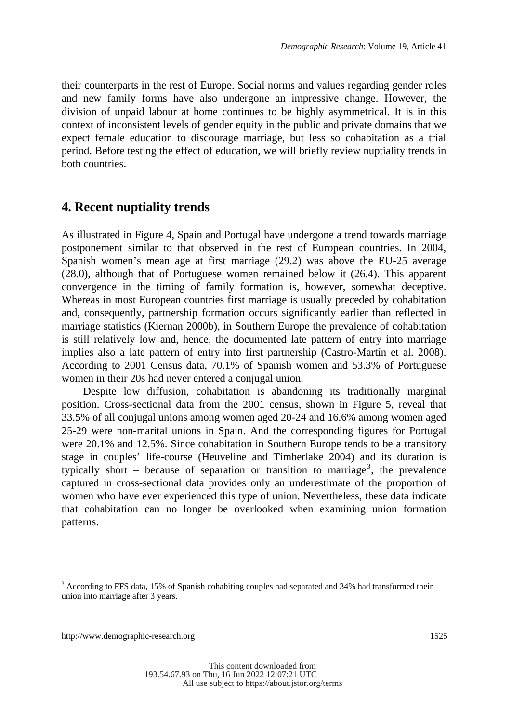their counterparts in the rest of Europe. Social norms and values regarding gender roles and new family forms have also undergone an impressive change. However, the division of unpaid labour at home continues to be highly asymmetrical. It is in this context of inconsistent levels of gender equity in the public and private domains that we expect female education to discourage marriage, but less so cohabitation as a trial period. Before testing the effect of education, we will briefly review nuptiality trends in both countries.

#### **4. Recent nuptiality trends**

As illustrated in Figure 4, Spain and Portugal have undergone a trend towards marriage postponement similar to that observed in the rest of European countries. In 2004, Spanish women's mean age at first marriage (29.2) was above the EU-25 average (28.0), although that of Portuguese women remained below it (26.4). This apparent convergence in the timing of family formation is, however, somewhat deceptive. Whereas in most European countries first marriage is usually preceded by cohabitation and, consequently, partnership formation occurs significantly earlier than reflected in marriage statistics (Kiernan 2000b), in Southern Europe the prevalence of cohabitation is still relatively low and, hence, the documented late pattern of entry into marriage implies also a late pattern of entry into first partnership (Castro-Martín et al. 2008). According to 2001 Census data, 70.1% of Spanish women and 53.3% of Portuguese women in their 20s had never entered a conjugal union.

Despite low diffusion, cohabitation is abandoning its traditionally marginal position. Cross-sectional data from the 2001 census, shown in Figure 5, reveal that 33.5% of all conjugal unions among women aged 20-24 and 16.6% among women aged 25-29 were non-marital unions in Spain. And the corresponding figures for Portugal were 20.1% and 12.5%. Since cohabitation in Southern Europe tends to be a transitory stage in couples' life-course (Heuveline and Timberlake 2004) and its duration is typically short – because of separation or transition to marriage<sup>3</sup>, the prevalence captured in cross-sectional data provides only an underestimate of the proportion of women who have ever experienced this type of union. Nevertheless, these data indicate that cohabitation can no longer be overlooked when examining union formation patterns.

http://www.demographic-research.org 1525

-

<sup>&</sup>lt;sup>3</sup> According to FFS data, 15% of Spanish cohabiting couples had separated and 34% had transformed their union into marriage after 3 years.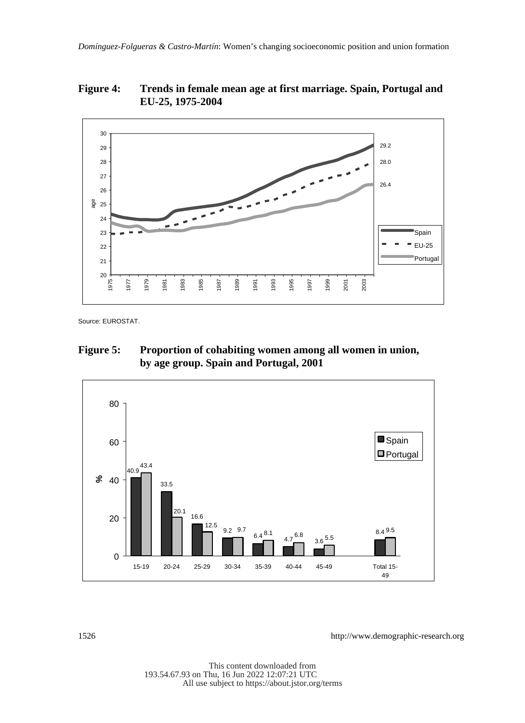**Figure 4: Trends in female mean age at first marriage. Spain, Portugal and EU-25, 1975-2004** 



Source: EUROSTAT.

#### **Figure 5: Proportion of cohabiting women among all women in union, by age group. Spain and Portugal, 2001**

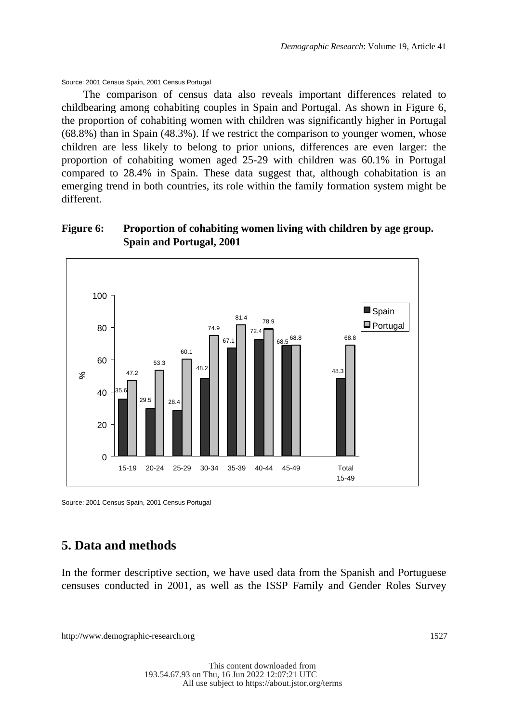#### Source: 2001 Census Spain, 2001 Census Portugal

The comparison of census data also reveals important differences related to childbearing among cohabiting couples in Spain and Portugal. As shown in Figure 6, the proportion of cohabiting women with children was significantly higher in Portugal (68.8%) than in Spain (48.3%). If we restrict the comparison to younger women, whose children are less likely to belong to prior unions, differences are even larger: the proportion of cohabiting women aged 25-29 with children was 60.1% in Portugal compared to 28.4% in Spain. These data suggest that, although cohabitation is an emerging trend in both countries, its role within the family formation system might be different.

#### **Figure 6: Proportion of cohabiting women living with children by age group. Spain and Portugal, 2001**



Source: 2001 Census Spain, 2001 Census Portugal

### **5. Data and methods**

In the former descriptive section, we have used data from the Spanish and Portuguese censuses conducted in 2001, as well as the ISSP Family and Gender Roles Survey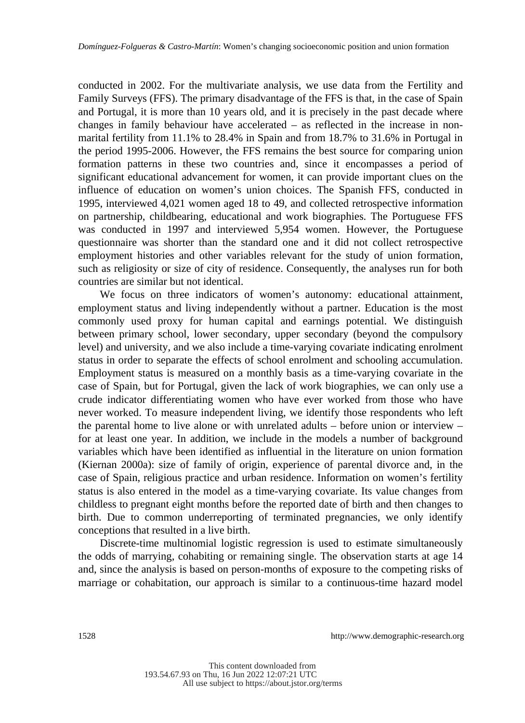conducted in 2002. For the multivariate analysis, we use data from the Fertility and Family Surveys (FFS). The primary disadvantage of the FFS is that, in the case of Spain and Portugal, it is more than 10 years old, and it is precisely in the past decade where changes in family behaviour have accelerated – as reflected in the increase in nonmarital fertility from 11.1% to 28.4% in Spain and from 18.7% to 31.6% in Portugal in the period 1995-2006. However, the FFS remains the best source for comparing union formation patterns in these two countries and, since it encompasses a period of significant educational advancement for women, it can provide important clues on the influence of education on women's union choices. The Spanish FFS, conducted in 1995, interviewed 4,021 women aged 18 to 49, and collected retrospective information on partnership, childbearing, educational and work biographies. The Portuguese FFS was conducted in 1997 and interviewed 5,954 women. However, the Portuguese questionnaire was shorter than the standard one and it did not collect retrospective employment histories and other variables relevant for the study of union formation, such as religiosity or size of city of residence. Consequently, the analyses run for both countries are similar but not identical.

We focus on three indicators of women's autonomy: educational attainment, employment status and living independently without a partner. Education is the most commonly used proxy for human capital and earnings potential. We distinguish between primary school, lower secondary, upper secondary (beyond the compulsory level) and university, and we also include a time-varying covariate indicating enrolment status in order to separate the effects of school enrolment and schooling accumulation. Employment status is measured on a monthly basis as a time-varying covariate in the case of Spain, but for Portugal, given the lack of work biographies, we can only use a crude indicator differentiating women who have ever worked from those who have never worked. To measure independent living, we identify those respondents who left the parental home to live alone or with unrelated adults – before union or interview – for at least one year. In addition, we include in the models a number of background variables which have been identified as influential in the literature on union formation (Kiernan 2000a): size of family of origin, experience of parental divorce and, in the case of Spain, religious practice and urban residence. Information on women's fertility status is also entered in the model as a time-varying covariate. Its value changes from childless to pregnant eight months before the reported date of birth and then changes to birth. Due to common underreporting of terminated pregnancies, we only identify conceptions that resulted in a live birth.

Discrete-time multinomial logistic regression is used to estimate simultaneously the odds of marrying, cohabiting or remaining single. The observation starts at age 14 and, since the analysis is based on person-months of exposure to the competing risks of marriage or cohabitation, our approach is similar to a continuous-time hazard model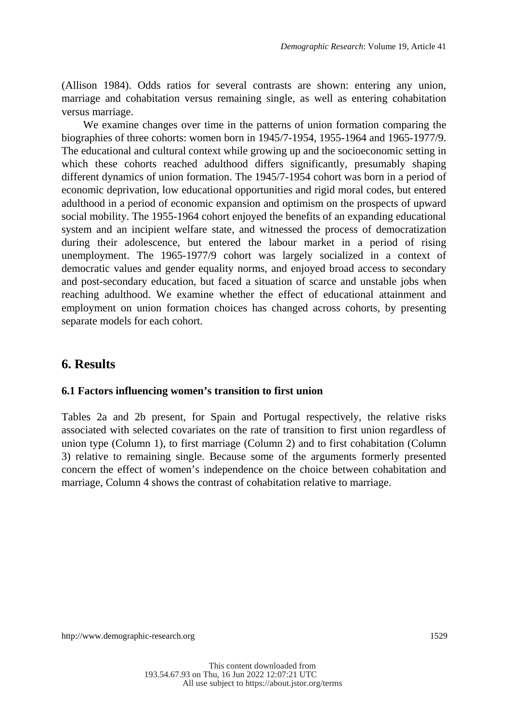(Allison 1984). Odds ratios for several contrasts are shown: entering any union, marriage and cohabitation versus remaining single, as well as entering cohabitation versus marriage.

We examine changes over time in the patterns of union formation comparing the biographies of three cohorts: women born in 1945/7-1954, 1955-1964 and 1965-1977/9. The educational and cultural context while growing up and the socioeconomic setting in which these cohorts reached adulthood differs significantly, presumably shaping different dynamics of union formation. The 1945/7-1954 cohort was born in a period of economic deprivation, low educational opportunities and rigid moral codes, but entered adulthood in a period of economic expansion and optimism on the prospects of upward social mobility. The 1955-1964 cohort enjoyed the benefits of an expanding educational system and an incipient welfare state, and witnessed the process of democratization during their adolescence, but entered the labour market in a period of rising unemployment. The 1965-1977/9 cohort was largely socialized in a context of democratic values and gender equality norms, and enjoyed broad access to secondary and post-secondary education, but faced a situation of scarce and unstable jobs when reaching adulthood. We examine whether the effect of educational attainment and employment on union formation choices has changed across cohorts, by presenting separate models for each cohort.

### **6. Results**

#### **6.1 Factors influencing women's transition to first union**

Tables 2a and 2b present, for Spain and Portugal respectively, the relative risks associated with selected covariates on the rate of transition to first union regardless of union type (Column 1), to first marriage (Column 2) and to first cohabitation (Column 3) relative to remaining single. Because some of the arguments formerly presented concern the effect of women's independence on the choice between cohabitation and marriage, Column 4 shows the contrast of cohabitation relative to marriage.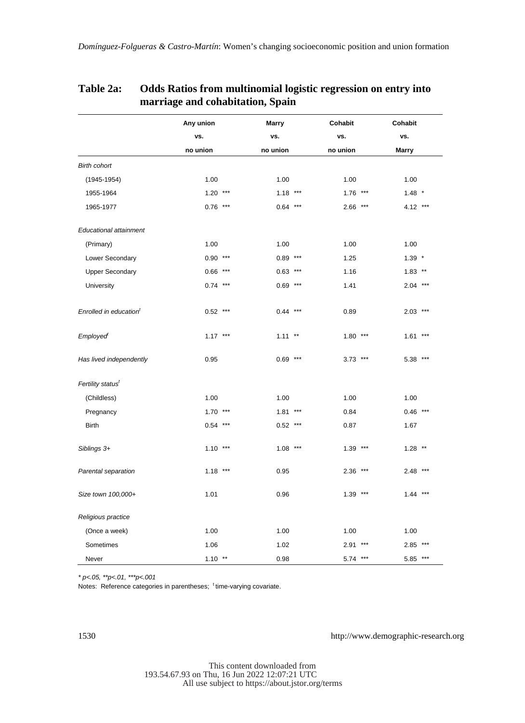|                                    | Any union  | <b>Marry</b> | Cohabit    | Cohabit      |
|------------------------------------|------------|--------------|------------|--------------|
|                                    | vs.        | vs.          | vs.        | vs.          |
|                                    | no union   | no union     | no union   | <b>Marry</b> |
| <b>Birth cohort</b>                |            |              |            |              |
| $(1945 - 1954)$                    | 1.00       | 1.00         | 1.00       | 1.00         |
| 1955-1964                          | $1.20***$  | $1.18$ ***   | $1.76$ *** | $1.48$ *     |
| 1965-1977                          | $0.76$ *** | $0.64$ ***   | $2.66$ *** | 4.12 ***     |
| <b>Educational attainment</b>      |            |              |            |              |
| (Primary)                          | 1.00       | 1.00         | 1.00       | 1.00         |
| Lower Secondary                    | $0.90***$  | $0.89***$    | 1.25       | $1.39$ *     |
| <b>Upper Secondary</b>             | $0.66$ *** | $0.63$ ***   | 1.16       | $1.83$ **    |
| University                         | $0.74$ *** | $0.69***$    | 1.41       | $2.04$ ***   |
| Enrolled in education <sup>t</sup> | $0.52$ *** | $0.44***$    | 0.89       | $2.03$ ***   |
| Employed                           | $1.17***$  | $1.11***$    | $1.80***$  | $1.61***$    |
| Has lived independently            | 0.95       | $0.69***$    | $3.73$ *** | 5.38 ***     |
| Fertility status <sup>t</sup>      |            |              |            |              |
| (Childless)                        | 1.00       | 1.00         | 1.00       | 1.00         |
| Pregnancy                          | $1.70***$  | $1.81***$    | 0.84       | $0.46$ ***   |
| <b>Birth</b>                       | $0.54***$  | $0.52$ ***   | 0.87       | 1.67         |
| Siblings 3+                        | $1.10***$  | $1.08$ ***   | $1.39***$  | $1.28$ **    |
| Parental separation                | $1.18***$  | 0.95         | $2.36$ *** | $2.48$ ***   |
| Size town 100,000+                 | 1.01       | 0.96         | $1.39***$  | $1.44***$    |
| Religious practice                 |            |              |            |              |
| (Once a week)                      | 1.00       | 1.00         | 1.00       | 1.00         |
| Sometimes                          | 1.06       | 1.02         | $2.91***$  | $2.85$ ***   |
| Never                              | $1.10***$  | 0.98         | 5.74 ***   | 5.85 ***     |

#### **Table 2a: Odds Ratios from multinomial logistic regression on entry into marriage and cohabitation, Spain**

*\* p<.05, \*\*p<.01, \*\*\*p<.001*

Notes: Reference categories in parentheses; <sup>t</sup> time-varying covariate.

1530 http://www.demographic-research.org

This content downloaded from 193.54.67.93 on Thu, 16 Jun 2022 12:07:21 UTC All use subject to https://about.jstor.org/terms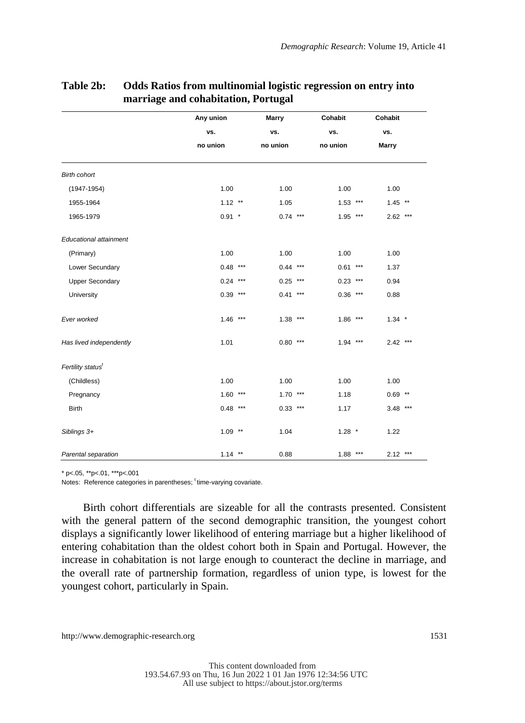|                               | Any union  |       | Marry     |       | Cohabit    | Cohabit      |  |
|-------------------------------|------------|-------|-----------|-------|------------|--------------|--|
|                               | VS.        |       | VS.       |       | VS.        | VS.          |  |
|                               | no union   |       | no union  |       | no union   | <b>Marry</b> |  |
| <b>Birth cohort</b>           |            |       |           |       |            |              |  |
| $(1947 - 1954)$               | 1.00       |       | 1.00      |       | 1.00       | 1.00         |  |
| 1955-1964                     | $1.12$ **  |       | 1.05      |       | $1.53$ *** | $1.45$ **    |  |
| 1965-1979                     | $0.91$ *   |       | $0.74***$ |       | $1.95$ *** | $2.62$ ***   |  |
| <b>Educational attainment</b> |            |       |           |       |            |              |  |
| (Primary)                     | 1.00       |       | 1.00      |       | 1.00       | 1.00         |  |
| Lower Secundary               | $0.48***$  |       | $0.44***$ |       | $0.61***$  | 1.37         |  |
| <b>Upper Secondary</b>        | 0.24       | $***$ | $0.25***$ |       | $0.23$ *** | 0.94         |  |
| University                    | $0.39***$  |       | 0.41      | $***$ | $0.36$ *** | 0.88         |  |
| Ever worked                   | $1.46$ *** |       | $1.38***$ |       | $1.86$ *** | $1.34$ *     |  |
| Has lived independently       | 1.01       |       | $0.80***$ |       | $1.94***$  | $2.42$ ***   |  |
| Fertility status <sup>t</sup> |            |       |           |       |            |              |  |
| (Childless)                   | 1.00       |       | 1.00      |       | 1.00       | 1.00         |  |
| Pregnancy                     | $1.60***$  |       | $1.70***$ |       | 1.18       | $0.69$ **    |  |
| <b>Birth</b>                  | $0.48$ *** |       | $0.33***$ |       | 1.17       | $3.48$ ***   |  |
| Siblings 3+                   | $1.09$ **  |       | 1.04      |       | $1.28$ *   | 1.22         |  |
| Parental separation           | $1.14$ **  |       | 0.88      |       | $1.88***$  | $2.12$ ***   |  |

#### **Table 2b: Odds Ratios from multinomial logistic regression on entry into marriage and cohabitation, Portugal**

 $*$  p<.05,  $*$ \*p<.01,  $*$ \*\*p<.001

Notes: Reference categories in parentheses; time-varying covariate.

Birth cohort differentials are sizeable for all the contrasts presented. Consistent with the general pattern of the second demographic transition, the youngest cohort displays a significantly lower likelihood of entering marriage but a higher likelihood of entering cohabitation than the oldest cohort both in Spain and Portugal. However, the increase in cohabitation is not large enough to counteract the decline in marriage, and the overall rate of partnership formation, regardless of union type, is lowest for the youngest cohort, particularly in Spain.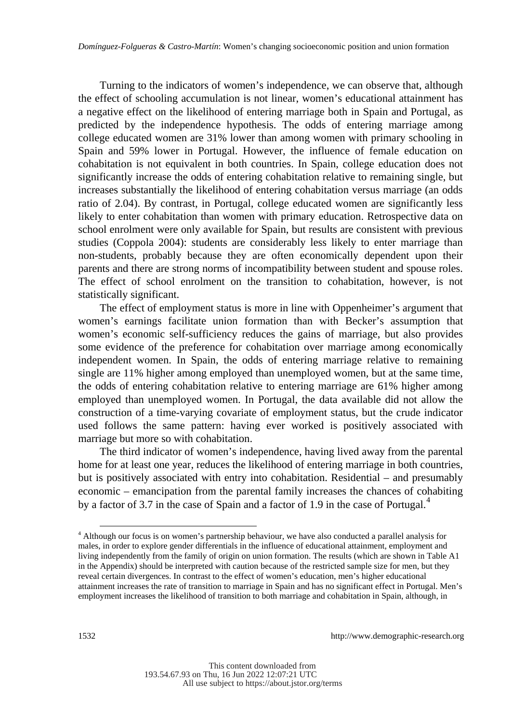Turning to the indicators of women's independence, we can observe that, although the effect of schooling accumulation is not linear, women's educational attainment has a negative effect on the likelihood of entering marriage both in Spain and Portugal, as predicted by the independence hypothesis. The odds of entering marriage among college educated women are 31% lower than among women with primary schooling in Spain and 59% lower in Portugal. However, the influence of female education on cohabitation is not equivalent in both countries. In Spain, college education does not significantly increase the odds of entering cohabitation relative to remaining single, but increases substantially the likelihood of entering cohabitation versus marriage (an odds ratio of 2.04). By contrast, in Portugal, college educated women are significantly less likely to enter cohabitation than women with primary education. Retrospective data on school enrolment were only available for Spain, but results are consistent with previous studies (Coppola 2004): students are considerably less likely to enter marriage than non-students, probably because they are often economically dependent upon their parents and there are strong norms of incompatibility between student and spouse roles. The effect of school enrolment on the transition to cohabitation, however, is not statistically significant.

The effect of employment status is more in line with Oppenheimer's argument that women's earnings facilitate union formation than with Becker's assumption that women's economic self-sufficiency reduces the gains of marriage, but also provides some evidence of the preference for cohabitation over marriage among economically independent women. In Spain, the odds of entering marriage relative to remaining single are 11% higher among employed than unemployed women, but at the same time, the odds of entering cohabitation relative to entering marriage are 61% higher among employed than unemployed women. In Portugal, the data available did not allow the construction of a time-varying covariate of employment status, but the crude indicator used follows the same pattern: having ever worked is positively associated with marriage but more so with cohabitation.

The third indicator of women's independence, having lived away from the parental home for at least one year, reduces the likelihood of entering marriage in both countries, but is positively associated with entry into cohabitation. Residential – and presumably economic – emancipation from the parental family increases the chances of cohabiting by a factor of 3.7 in the case of Spain and a factor of 1.9 in the case of Portugal.<sup>4</sup>

l

<sup>4</sup> Although our focus is on women's partnership behaviour, we have also conducted a parallel analysis for males, in order to explore gender differentials in the influence of educational attainment, employment and living independently from the family of origin on union formation. The results (which are shown in Table A1 in the Appendix) should be interpreted with caution because of the restricted sample size for men, but they reveal certain divergences. In contrast to the effect of women's education, men's higher educational attainment increases the rate of transition to marriage in Spain and has no significant effect in Portugal. Men's employment increases the likelihood of transition to both marriage and cohabitation in Spain, although, in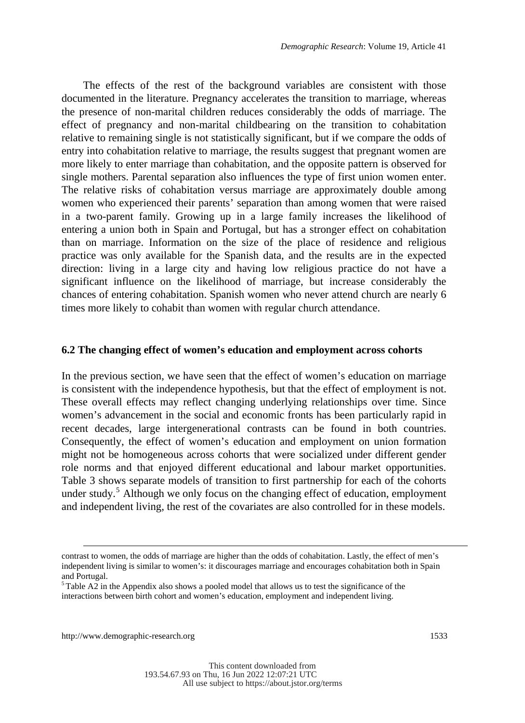The effects of the rest of the background variables are consistent with those documented in the literature. Pregnancy accelerates the transition to marriage, whereas the presence of non-marital children reduces considerably the odds of marriage. The effect of pregnancy and non-marital childbearing on the transition to cohabitation relative to remaining single is not statistically significant, but if we compare the odds of entry into cohabitation relative to marriage, the results suggest that pregnant women are more likely to enter marriage than cohabitation, and the opposite pattern is observed for single mothers. Parental separation also influences the type of first union women enter. The relative risks of cohabitation versus marriage are approximately double among women who experienced their parents' separation than among women that were raised in a two-parent family. Growing up in a large family increases the likelihood of entering a union both in Spain and Portugal, but has a stronger effect on cohabitation than on marriage. Information on the size of the place of residence and religious practice was only available for the Spanish data, and the results are in the expected direction: living in a large city and having low religious practice do not have a significant influence on the likelihood of marriage, but increase considerably the chances of entering cohabitation. Spanish women who never attend church are nearly 6 times more likely to cohabit than women with regular church attendance.

#### **6.2 The changing effect of women's education and employment across cohorts**

In the previous section, we have seen that the effect of women's education on marriage is consistent with the independence hypothesis, but that the effect of employment is not. These overall effects may reflect changing underlying relationships over time. Since women's advancement in the social and economic fronts has been particularly rapid in recent decades, large intergenerational contrasts can be found in both countries. Consequently, the effect of women's education and employment on union formation might not be homogeneous across cohorts that were socialized under different gender role norms and that enjoyed different educational and labour market opportunities. Table 3 shows separate models of transition to first partnership for each of the cohorts under study.<sup>5</sup> Although we only focus on the changing effect of education, employment and independent living, the rest of the covariates are also controlled for in these models.

-

contrast to women, the odds of marriage are higher than the odds of cohabitation. Lastly, the effect of men's independent living is similar to women's: it discourages marriage and encourages cohabitation both in Spain and Portugal.

 $5$ Table A2 in the Appendix also shows a pooled model that allows us to test the significance of the interactions between birth cohort and women's education, employment and independent living.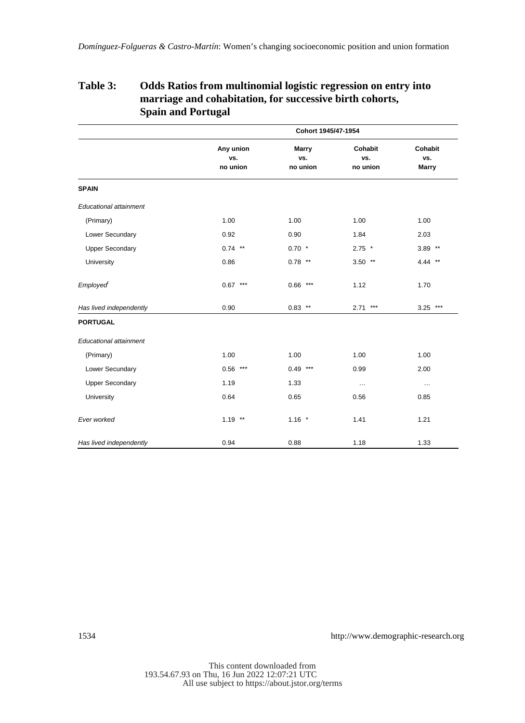#### **Table 3: Odds Ratios from multinomial logistic regression on entry into marriage and cohabitation, for successive birth cohorts, Spain and Portugal**

|                         | Cohort 1945/47-1954          |                                 |                            |                                |  |  |
|-------------------------|------------------------------|---------------------------------|----------------------------|--------------------------------|--|--|
|                         | Any union<br>vs.<br>no union | <b>Marry</b><br>vs.<br>no union | Cohabit<br>vs.<br>no union | Cohabit<br>vs.<br><b>Marry</b> |  |  |
| <b>SPAIN</b>            |                              |                                 |                            |                                |  |  |
| Educational attainment  |                              |                                 |                            |                                |  |  |
| (Primary)               | 1.00                         | 1.00                            | 1.00                       | 1.00                           |  |  |
| Lower Secundary         | 0.92                         | 0.90                            | 1.84                       | 2.03                           |  |  |
| <b>Upper Secondary</b>  | $0.74$ **                    | $0.70$ *                        | $2.75$ *                   | $3.89$ **                      |  |  |
| University              | 0.86                         | $0.78$ **                       | $3.50$ **                  | 4.44 **                        |  |  |
| <b>Employed</b>         | $0.67***$                    | $0.66***$                       | 1.12                       | 1.70                           |  |  |
| Has lived independently | 0.90                         | $0.83$ **                       | $2.71***$                  | $3.25$ ***                     |  |  |
| <b>PORTUGAL</b>         |                              |                                 |                            |                                |  |  |
| Educational attainment  |                              |                                 |                            |                                |  |  |
| (Primary)               | 1.00                         | 1.00                            | 1.00                       | 1.00                           |  |  |
| Lower Secundary         | $0.56***$                    | $0.49***$                       | 0.99                       | 2.00                           |  |  |
| <b>Upper Secondary</b>  | 1.19                         | 1.33                            | $\cdots$                   | $\cdots$                       |  |  |
| University              | 0.64                         | 0.65                            | 0.56                       | 0.85                           |  |  |
| Ever worked             | $1.19$ **                    | $1.16$ *                        | 1.41                       | 1.21                           |  |  |
| Has lived independently | 0.94                         | 0.88                            | 1.18                       | 1.33                           |  |  |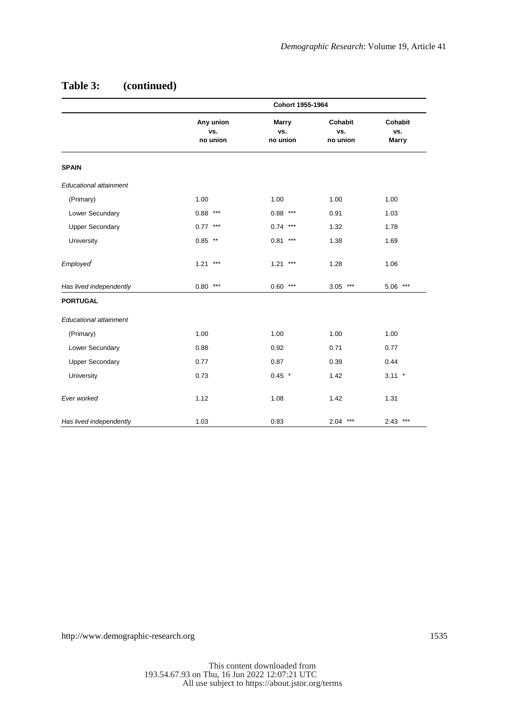|                               | Cohort 1955-1964             |                          |                            |                                |  |  |  |  |
|-------------------------------|------------------------------|--------------------------|----------------------------|--------------------------------|--|--|--|--|
|                               | Any union<br>vs.<br>no union | Marry<br>vs.<br>no union | Cohabit<br>vs.<br>no union | Cohabit<br>vs.<br><b>Marry</b> |  |  |  |  |
| <b>SPAIN</b>                  |                              |                          |                            |                                |  |  |  |  |
| <b>Educational attainment</b> |                              |                          |                            |                                |  |  |  |  |
| (Primary)                     | 1.00                         | 1.00                     | 1.00                       | 1.00                           |  |  |  |  |
| Lower Secundary               | $0.88***$                    | $0.88***$                | 0.91                       | 1.03                           |  |  |  |  |
| <b>Upper Secondary</b>        | $0.77***$                    | $0.74***$                | 1.32                       | 1.78                           |  |  |  |  |
| University                    | $0.85$ **                    | $0.81***$                | 1.38                       | 1.69                           |  |  |  |  |
| <b>Employed</b>               | $1.21***$                    | $1.21***$                | 1.28                       | 1.06                           |  |  |  |  |
| Has lived independently       | $0.80***$                    | $0.60***$                | $3.05$ ***                 | $5.06***$                      |  |  |  |  |
| <b>PORTUGAL</b>               |                              |                          |                            |                                |  |  |  |  |
| <b>Educational attainment</b> |                              |                          |                            |                                |  |  |  |  |
| (Primary)                     | 1.00                         | 1.00                     | 1.00                       | 1.00                           |  |  |  |  |
| Lower Secundary               | 0.88                         | 0.92                     | 0.71                       | 0.77                           |  |  |  |  |
| <b>Upper Secondary</b>        | 0.77                         | 0.87                     | 0.39                       | 0.44                           |  |  |  |  |
| University                    | 0.73                         | $0.45$ *                 | 1.42                       | $3.11$ *                       |  |  |  |  |
| Ever worked                   | 1.12                         | 1.08                     | 1.42                       | 1.31                           |  |  |  |  |
| Has lived independently       | 1.03                         | 0.83                     | $2.04***$                  | $2.43$ ***                     |  |  |  |  |

### **Table 3: (continued)**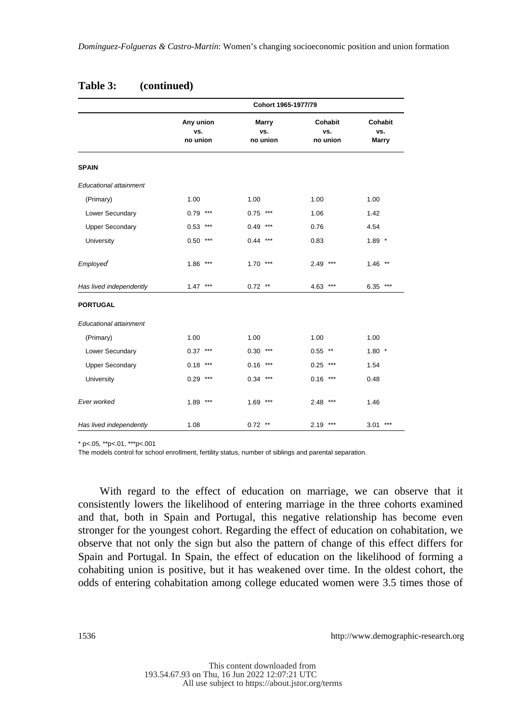| Table 3: | (continued) |
|----------|-------------|
|          |             |

|                               | Cohort 1965-1977/79          |                          |                            |                                |  |  |
|-------------------------------|------------------------------|--------------------------|----------------------------|--------------------------------|--|--|
|                               | Any union<br>vs.<br>no union | Marry<br>vs.<br>no union | Cohabit<br>vs.<br>no union | Cohabit<br>vs.<br><b>Marry</b> |  |  |
| <b>SPAIN</b>                  |                              |                          |                            |                                |  |  |
| <b>Educational attainment</b> |                              |                          |                            |                                |  |  |
| (Primary)                     | 1.00                         | 1.00                     | 1.00                       | 1.00                           |  |  |
| Lower Secundary               | $0.79$ ***                   | $0.75$ ***               | 1.06                       | 1.42                           |  |  |
| <b>Upper Secondary</b>        | $0.53$ ***                   | $0.49***$                | 0.76                       | 4.54                           |  |  |
| University                    | $0.50***$                    | $0.44***$                | 0.83                       | $1.89$ *                       |  |  |
| <b>Employed</b>               | $1.86$ ***                   | $1.70***$                | $2.49***$                  | $1.46$ **                      |  |  |
| Has lived independently       | $1.47***$                    | $0.72$ **                | $4.63$ ***                 | $6.35***$                      |  |  |
| <b>PORTUGAL</b>               |                              |                          |                            |                                |  |  |
| Educational attainment        |                              |                          |                            |                                |  |  |
| (Primary)                     | 1.00                         | 1.00                     | 1.00                       | 1.00                           |  |  |
| Lower Secundary               | $0.37***$                    | $0.30***$                | $0.55$ **                  | $1.80*$                        |  |  |
| <b>Upper Secondary</b>        | $0.18$ ***                   | $0.16$ ***               | $0.25$ ***                 | 1.54                           |  |  |
| University                    | $0.29***$                    | $0.34***$                | $0.16$ ***                 | 0.48                           |  |  |
| Ever worked                   | $1.89$ ***                   | $1.69$ ***               | $2.48$ ***                 | 1.46                           |  |  |
| Has lived independently       | 1.08                         | $0.72$ **                | $2.19$ ***                 | $3.01***$                      |  |  |

 $*$  p<.05,  $*$ \*p<.01,  $*$ \*\*p<.001

The models control for school enrollment, fertility status, number of siblings and parental separation.

With regard to the effect of education on marriage, we can observe that it consistently lowers the likelihood of entering marriage in the three cohorts examined and that, both in Spain and Portugal, this negative relationship has become even stronger for the youngest cohort. Regarding the effect of education on cohabitation, we observe that not only the sign but also the pattern of change of this effect differs for Spain and Portugal. In Spain, the effect of education on the likelihood of forming a cohabiting union is positive, but it has weakened over time. In the oldest cohort, the odds of entering cohabitation among college educated women were 3.5 times those of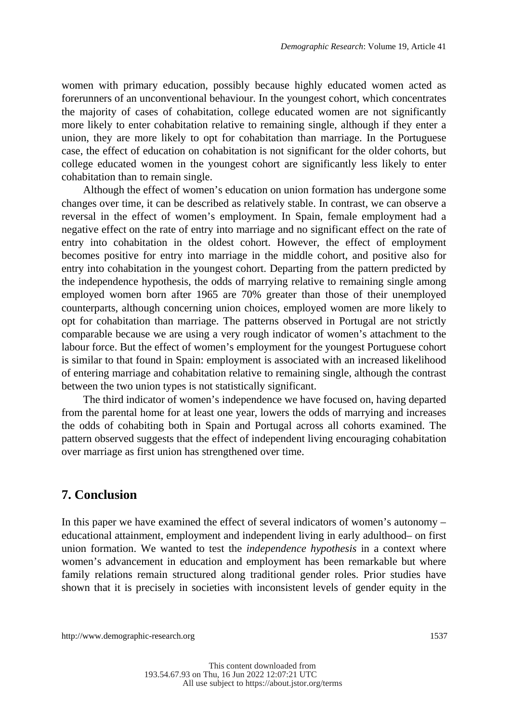women with primary education, possibly because highly educated women acted as forerunners of an unconventional behaviour. In the youngest cohort, which concentrates the majority of cases of cohabitation, college educated women are not significantly more likely to enter cohabitation relative to remaining single, although if they enter a union, they are more likely to opt for cohabitation than marriage. In the Portuguese case, the effect of education on cohabitation is not significant for the older cohorts, but college educated women in the youngest cohort are significantly less likely to enter cohabitation than to remain single.

Although the effect of women's education on union formation has undergone some changes over time, it can be described as relatively stable. In contrast, we can observe a reversal in the effect of women's employment. In Spain, female employment had a negative effect on the rate of entry into marriage and no significant effect on the rate of entry into cohabitation in the oldest cohort. However, the effect of employment becomes positive for entry into marriage in the middle cohort, and positive also for entry into cohabitation in the youngest cohort. Departing from the pattern predicted by the independence hypothesis, the odds of marrying relative to remaining single among employed women born after 1965 are 70% greater than those of their unemployed counterparts, although concerning union choices, employed women are more likely to opt for cohabitation than marriage. The patterns observed in Portugal are not strictly comparable because we are using a very rough indicator of women's attachment to the labour force. But the effect of women's employment for the youngest Portuguese cohort is similar to that found in Spain: employment is associated with an increased likelihood of entering marriage and cohabitation relative to remaining single, although the contrast between the two union types is not statistically significant.

The third indicator of women's independence we have focused on, having departed from the parental home for at least one year, lowers the odds of marrying and increases the odds of cohabiting both in Spain and Portugal across all cohorts examined. The pattern observed suggests that the effect of independent living encouraging cohabitation over marriage as first union has strengthened over time.

#### **7. Conclusion**

In this paper we have examined the effect of several indicators of women's autonomy – educational attainment, employment and independent living in early adulthood– on first union formation. We wanted to test the *independence hypothesis* in a context where women's advancement in education and employment has been remarkable but where family relations remain structured along traditional gender roles. Prior studies have shown that it is precisely in societies with inconsistent levels of gender equity in the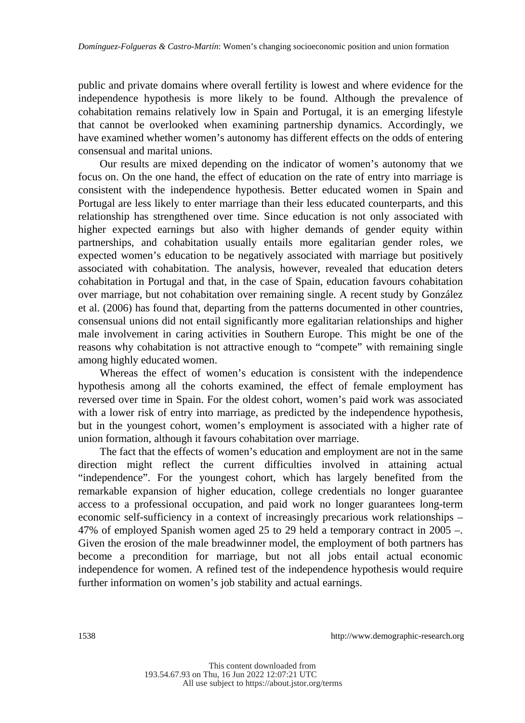public and private domains where overall fertility is lowest and where evidence for the independence hypothesis is more likely to be found. Although the prevalence of cohabitation remains relatively low in Spain and Portugal, it is an emerging lifestyle that cannot be overlooked when examining partnership dynamics. Accordingly, we have examined whether women's autonomy has different effects on the odds of entering consensual and marital unions.

Our results are mixed depending on the indicator of women's autonomy that we focus on. On the one hand, the effect of education on the rate of entry into marriage is consistent with the independence hypothesis. Better educated women in Spain and Portugal are less likely to enter marriage than their less educated counterparts, and this relationship has strengthened over time. Since education is not only associated with higher expected earnings but also with higher demands of gender equity within partnerships, and cohabitation usually entails more egalitarian gender roles, we expected women's education to be negatively associated with marriage but positively associated with cohabitation. The analysis, however, revealed that education deters cohabitation in Portugal and that, in the case of Spain, education favours cohabitation over marriage, but not cohabitation over remaining single. A recent study by González et al. (2006) has found that, departing from the patterns documented in other countries, consensual unions did not entail significantly more egalitarian relationships and higher male involvement in caring activities in Southern Europe. This might be one of the reasons why cohabitation is not attractive enough to "compete" with remaining single among highly educated women.

Whereas the effect of women's education is consistent with the independence hypothesis among all the cohorts examined, the effect of female employment has reversed over time in Spain. For the oldest cohort, women's paid work was associated with a lower risk of entry into marriage, as predicted by the independence hypothesis, but in the youngest cohort, women's employment is associated with a higher rate of union formation, although it favours cohabitation over marriage.

The fact that the effects of women's education and employment are not in the same direction might reflect the current difficulties involved in attaining actual "independence". For the youngest cohort, which has largely benefited from the remarkable expansion of higher education, college credentials no longer guarantee access to a professional occupation, and paid work no longer guarantees long-term economic self-sufficiency in a context of increasingly precarious work relationships – 47% of employed Spanish women aged 25 to 29 held a temporary contract in 2005 –. Given the erosion of the male breadwinner model, the employment of both partners has become a precondition for marriage, but not all jobs entail actual economic independence for women. A refined test of the independence hypothesis would require further information on women's job stability and actual earnings.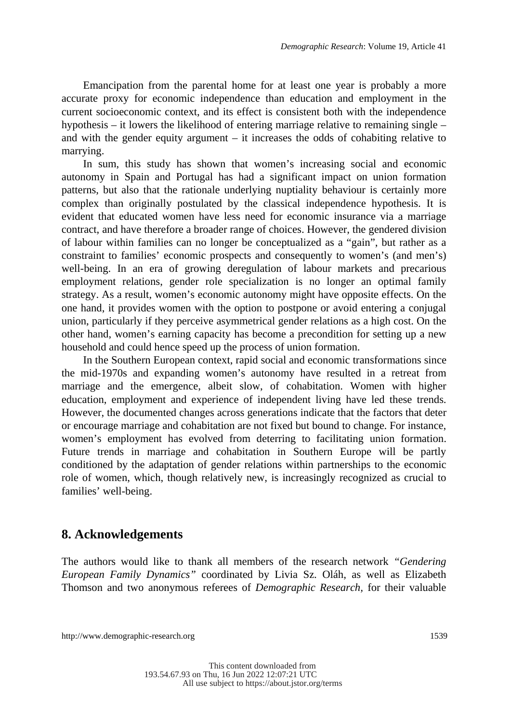Emancipation from the parental home for at least one year is probably a more accurate proxy for economic independence than education and employment in the current socioeconomic context, and its effect is consistent both with the independence hypothesis – it lowers the likelihood of entering marriage relative to remaining single – and with the gender equity argument – it increases the odds of cohabiting relative to marrying.

In sum, this study has shown that women's increasing social and economic autonomy in Spain and Portugal has had a significant impact on union formation patterns, but also that the rationale underlying nuptiality behaviour is certainly more complex than originally postulated by the classical independence hypothesis. It is evident that educated women have less need for economic insurance via a marriage contract, and have therefore a broader range of choices. However, the gendered division of labour within families can no longer be conceptualized as a "gain", but rather as a constraint to families' economic prospects and consequently to women's (and men's) well-being. In an era of growing deregulation of labour markets and precarious employment relations, gender role specialization is no longer an optimal family strategy. As a result, women's economic autonomy might have opposite effects. On the one hand, it provides women with the option to postpone or avoid entering a conjugal union, particularly if they perceive asymmetrical gender relations as a high cost. On the other hand, women's earning capacity has become a precondition for setting up a new household and could hence speed up the process of union formation.

In the Southern European context, rapid social and economic transformations since the mid-1970s and expanding women's autonomy have resulted in a retreat from marriage and the emergence, albeit slow, of cohabitation. Women with higher education, employment and experience of independent living have led these trends. However, the documented changes across generations indicate that the factors that deter or encourage marriage and cohabitation are not fixed but bound to change. For instance, women's employment has evolved from deterring to facilitating union formation. Future trends in marriage and cohabitation in Southern Europe will be partly conditioned by the adaptation of gender relations within partnerships to the economic role of women, which, though relatively new, is increasingly recognized as crucial to families' well-being.

### **8. Acknowledgements**

The authors would like to thank all members of the research network *"Gendering European Family Dynamics"* coordinated by Livia Sz. Oláh, as well as Elizabeth Thomson and two anonymous referees of *Demographic Research,* for their valuable

http://www.demographic-research.org 1539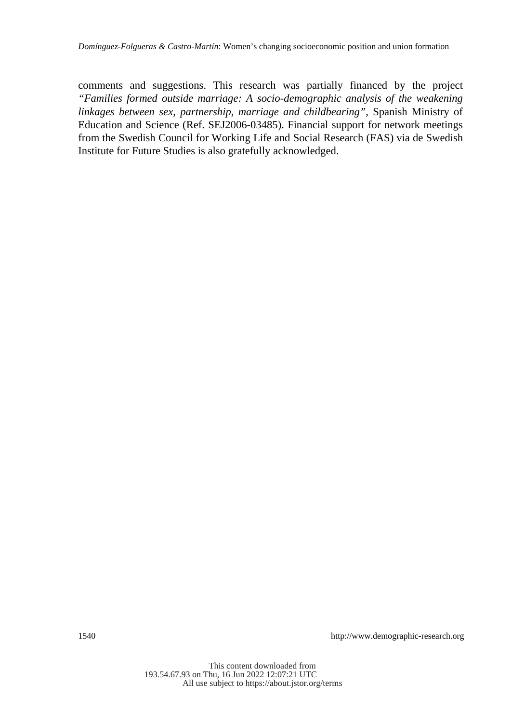comments and suggestions. This research was partially financed by the project *"Families formed outside marriage: A socio-demographic analysis of the weakening linkages between sex, partnership, marriage and childbearing"*, Spanish Ministry of Education and Science (Ref. SEJ2006-03485). Financial support for network meetings from the Swedish Council for Working Life and Social Research (FAS) via de Swedish Institute for Future Studies is also gratefully acknowledged.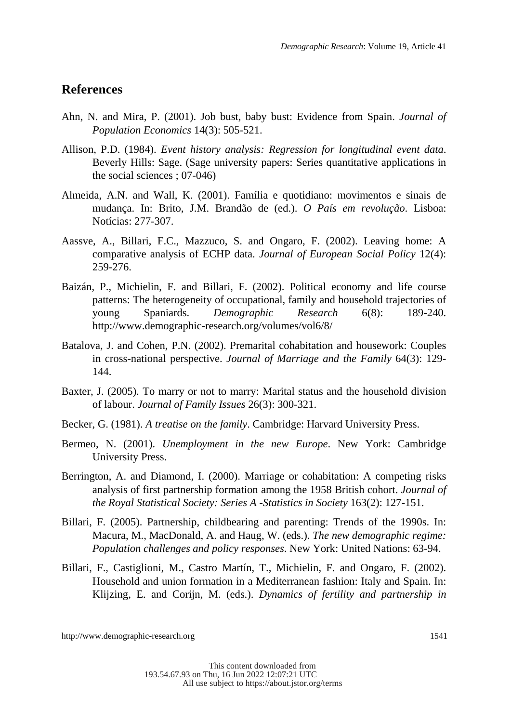### **References**

- Ahn, N. and Mira, P. (2001). Job bust, baby bust: Evidence from Spain. *Journal of Population Economics* 14(3): 505-521.
- Allison, P.D. (1984). *Event history analysis: Regression for longitudinal event data*. Beverly Hills: Sage. (Sage university papers: Series quantitative applications in the social sciences ; 07-046)
- Almeida, A.N. and Wall, K. (2001). Família e quotidiano: movimentos e sinais de mudança. In: Brito, J.M. Brandão de (ed.). *O País em revolução*. Lisboa: Notícias: 277-307.
- Aassve, A., Billari, F.C., Mazzuco, S. and Ongaro, F. (2002). Leaving home: A comparative analysis of ECHP data. *Journal of European Social Policy* 12(4): 259-276.
- Baizán, P., Michielin, F. and Billari, F. (2002). Political economy and life course patterns: The heterogeneity of occupational, family and household trajectories of young Spaniards. *Demographic Research* 6(8): 189-240. http://www.demographic-research.org/volumes/vol6/8/
- Batalova, J. and Cohen, P.N. (2002). Premarital cohabitation and housework: Couples in cross-national perspective. *Journal of Marriage and the Family* 64(3): 129- 144.
- Baxter, J. (2005). To marry or not to marry: Marital status and the household division of labour. *Journal of Family Issues* 26(3): 300-321.
- Becker, G. (1981). *A treatise on the family*. Cambridge: Harvard University Press.
- Bermeo, N. (2001). *Unemployment in the new Europe*. New York: Cambridge University Press.
- Berrington, A. and Diamond, I. (2000). Marriage or cohabitation: A competing risks analysis of first partnership formation among the 1958 British cohort. *Journal of the Royal Statistical Society: Series A -Statistics in Society* 163(2): 127-151.
- Billari, F. (2005). Partnership, childbearing and parenting: Trends of the 1990s. In: Macura, M., MacDonald, A. and Haug, W. (eds.). *The new demographic regime: Population challenges and policy responses*. New York: United Nations: 63-94.
- Billari, F., Castiglioni, M., Castro Martín, T., Michielin, F. and Ongaro, F. (2002). Household and union formation in a Mediterranean fashion: Italy and Spain. In: Klijzing, E. and Corijn, M. (eds.). *Dynamics of fertility and partnership in*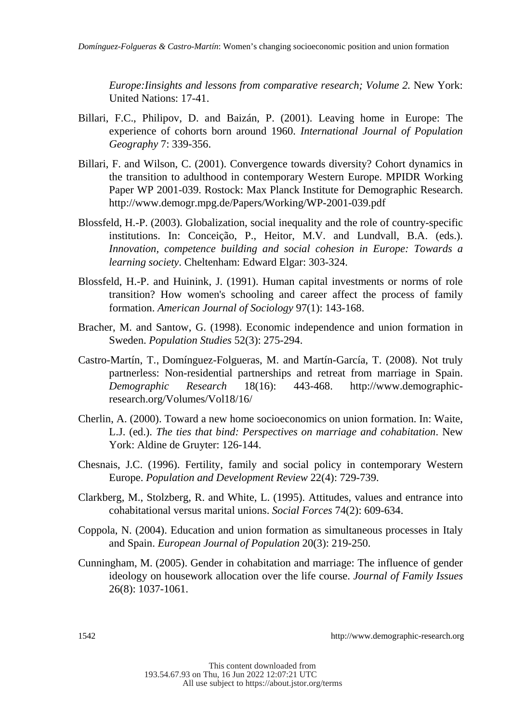*Europe: Iinsights and lessons from comparative research; Volume 2. New York:* United Nations: 17-41.

- Billari, F.C., Philipov, D. and Baizán, P. (2001). Leaving home in Europe: The experience of cohorts born around 1960. *International Journal of Population Geography* 7: 339-356.
- Billari, F. and Wilson, C. (2001). Convergence towards diversity? Cohort dynamics in the transition to adulthood in contemporary Western Europe. MPIDR Working Paper WP 2001-039. Rostock: Max Planck Institute for Demographic Research. http://www.demogr.mpg.de/Papers/Working/WP-2001-039.pdf
- Blossfeld, H.-P. (2003). Globalization, social inequality and the role of country-specific institutions. In: Conceição, P., Heitor, M.V. and Lundvall, B.A. (eds.). *Innovation, competence building and social cohesion in Europe: Towards a learning society*. Cheltenham: Edward Elgar: 303-324.
- Blossfeld, H.-P. and Huinink, J. (1991). Human capital investments or norms of role transition? How women's schooling and career affect the process of family formation. *American Journal of Sociology* 97(1): 143-168.
- Bracher, M. and Santow, G. (1998). Economic independence and union formation in Sweden. *Population Studies* 52(3): 275-294.
- Castro-Martín, T., Domínguez-Folgueras, M. and Martín-García, T. (2008). Not truly partnerless: Non-residential partnerships and retreat from marriage in Spain. *Demographic Research* 18(16): 443-468. http://www.demographicresearch.org/Volumes/Vol18/16/
- Cherlin, A. (2000). Toward a new home socioeconomics on union formation. In: Waite, L.J. (ed.). *The ties that bind: Perspectives on marriage and cohabitation*. New York: Aldine de Gruyter: 126-144.
- Chesnais, J.C. (1996). Fertility, family and social policy in contemporary Western Europe. *Population and Development Review* 22(4): 729-739.
- Clarkberg, M., Stolzberg, R. and White, L. (1995). Attitudes, values and entrance into cohabitational versus marital unions. *Social Forces* 74(2): 609-634.
- Coppola, N. (2004). Education and union formation as simultaneous processes in Italy and Spain. *European Journal of Population* 20(3): 219-250.
- Cunningham, M. (2005). Gender in cohabitation and marriage: The influence of gender ideology on housework allocation over the life course. *Journal of Family Issues* 26(8): 1037-1061.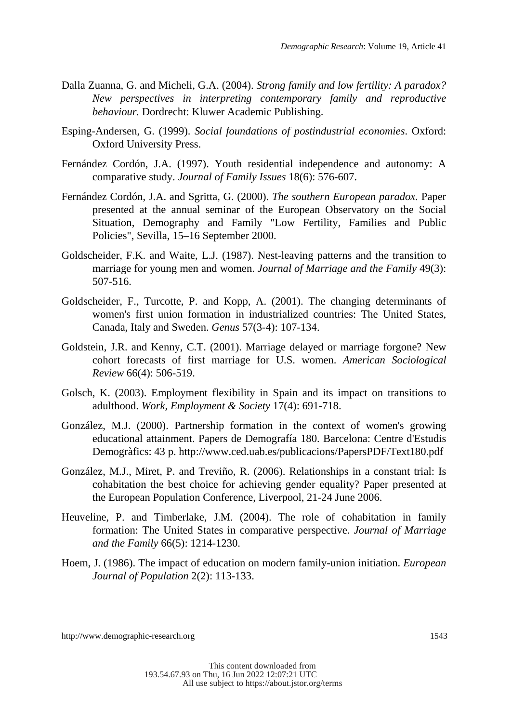- Dalla Zuanna, G. and Micheli, G.A. (2004). *Strong family and low fertility: A paradox? New perspectives in interpreting contemporary family and reproductive behaviour.* Dordrecht: Kluwer Academic Publishing.
- Esping-Andersen, G. (1999). *Social foundations of postindustrial economies*. Oxford: Oxford University Press.
- Fernández Cordón, J.A. (1997). Youth residential independence and autonomy: A comparative study. *Journal of Family Issues* 18(6): 576-607.
- Fernández Cordón, J.A. and Sgritta, G. (2000). *The southern European paradox.* Paper presented at the annual seminar of the European Observatory on the Social Situation, Demography and Family "Low Fertility, Families and Public Policies", Sevilla, 15–16 September 2000.
- Goldscheider, F.K. and Waite, L.J. (1987). Nest-leaving patterns and the transition to marriage for young men and women. *Journal of Marriage and the Family* 49(3): 507-516.
- Goldscheider, F., Turcotte, P. and Kopp, A. (2001). The changing determinants of women's first union formation in industrialized countries: The United States, Canada, Italy and Sweden. *Genus* 57(3-4): 107-134.
- Goldstein, J.R. and Kenny, C.T. (2001). Marriage delayed or marriage forgone? New cohort forecasts of first marriage for U.S. women. *American Sociological Review* 66(4): 506-519.
- Golsch, K. (2003). Employment flexibility in Spain and its impact on transitions to adulthood. *Work, Employment & Society* 17(4): 691-718.
- González, M.J. (2000). Partnership formation in the context of women's growing educational attainment. Papers de Demografía 180. Barcelona: Centre d'Estudis Demogràfics: 43 p. http://www.ced.uab.es/publicacions/PapersPDF/Text180.pdf
- González, M.J., Miret, P. and Treviño, R. (2006). Relationships in a constant trial: Is cohabitation the best choice for achieving gender equality? Paper presented at the European Population Conference, Liverpool, 21-24 June 2006.
- Heuveline, P. and Timberlake, J.M. (2004). The role of cohabitation in family formation: The United States in comparative perspective. *Journal of Marriage and the Family* 66(5): 1214-1230.
- Hoem, J. (1986). The impact of education on modern family-union initiation. *European Journal of Population* 2(2): 113-133.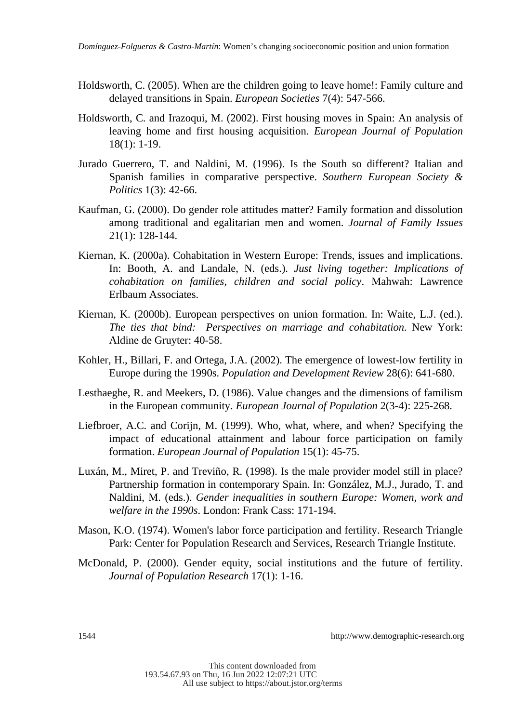- Holdsworth, C. (2005). When are the children going to leave home!: Family culture and delayed transitions in Spain. *European Societies* 7(4): 547-566.
- Holdsworth, C. and Irazoqui, M. (2002). First housing moves in Spain: An analysis of leaving home and first housing acquisition. *European Journal of Population* 18(1): 1-19.
- Jurado Guerrero, T. and Naldini, M. (1996). Is the South so different? Italian and Spanish families in comparative perspective. *Southern European Society & Politics* 1(3): 42-66.
- Kaufman, G. (2000). Do gender role attitudes matter? Family formation and dissolution among traditional and egalitarian men and women. *Journal of Family Issues* 21(1): 128-144.
- Kiernan, K. (2000a). Cohabitation in Western Europe: Trends, issues and implications. In: Booth, A. and Landale, N. (eds.). *Just living together: Implications of cohabitation on families, children and social policy*. Mahwah: Lawrence Erlbaum Associates.
- Kiernan, K. (2000b). European perspectives on union formation. In: Waite, L.J. (ed.). *The ties that bind: Perspectives on marriage and cohabitation*. New York: Aldine de Gruyter: 40-58.
- Kohler, H., Billari, F. and Ortega, J.A. (2002). The emergence of lowest-low fertility in Europe during the 1990s. *Population and Development Review* 28(6): 641-680.
- Lesthaeghe, R. and Meekers, D. (1986). Value changes and the dimensions of familism in the European community. *European Journal of Population* 2(3-4): 225-268.
- Liefbroer, A.C. and Corijn, M. (1999). Who, what, where, and when? Specifying the impact of educational attainment and labour force participation on family formation. *European Journal of Population* 15(1): 45-75.
- Luxán, M., Miret, P. and Treviño, R. (1998). Is the male provider model still in place? Partnership formation in contemporary Spain. In: González, M.J., Jurado, T. and Naldini, M. (eds.). *Gender inequalities in southern Europe: Women, work and welfare in the 1990s*. London: Frank Cass: 171-194.
- Mason, K.O. (1974). Women's labor force participation and fertility. Research Triangle Park: Center for Population Research and Services, Research Triangle Institute.
- McDonald, P. (2000). Gender equity, social institutions and the future of fertility. *Journal of Population Research* 17(1): 1-16.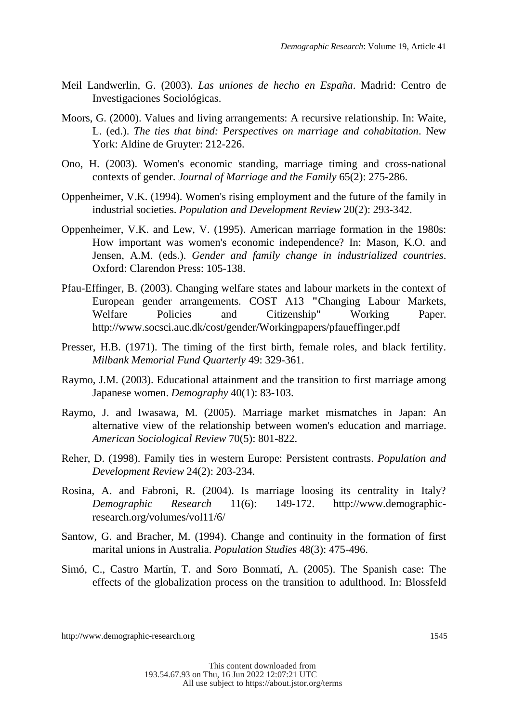- Meil Landwerlin, G. (2003). *Las uniones de hecho en España*. Madrid: Centro de Investigaciones Sociológicas.
- Moors, G. (2000). Values and living arrangements: A recursive relationship. In: Waite, L. (ed.). *The ties that bind: Perspectives on marriage and cohabitation*. New York: Aldine de Gruyter: 212-226.
- Ono, H. (2003). Women's economic standing, marriage timing and cross-national contexts of gender. *Journal of Marriage and the Family* 65(2): 275-286.
- Oppenheimer, V.K. (1994). Women's rising employment and the future of the family in industrial societies. *Population and Development Review* 20(2): 293-342.
- Oppenheimer, V.K. and Lew, V. (1995). American marriage formation in the 1980s: How important was women's economic independence? In: Mason, K.O. and Jensen, A.M. (eds.). *Gender and family change in industrialized countries*. Oxford: Clarendon Press: 105-138.
- Pfau-Effinger, B. (2003). Changing welfare states and labour markets in the context of European gender arrangements. COST A13 **"**Changing Labour Markets, Welfare Policies and Citizenship" Working Paper. http://www.socsci.auc.dk/cost/gender/Workingpapers/pfaueffinger.pdf
- Presser, H.B. (1971). The timing of the first birth, female roles, and black fertility. *Milbank Memorial Fund Quarterly* 49: 329-361.
- Raymo, J.M. (2003). Educational attainment and the transition to first marriage among Japanese women. *Demography* 40(1): 83-103.
- Raymo, J. and Iwasawa, M. (2005). Marriage market mismatches in Japan: An alternative view of the relationship between women's education and marriage. *American Sociological Review* 70(5): 801-822.
- Reher, D. (1998). Family ties in western Europe: Persistent contrasts. *Population and Development Review* 24(2): 203-234.
- Rosina, A. and Fabroni, R. (2004). Is marriage loosing its centrality in Italy? *Demographic Research* 11(6): 149-172. http://www.demographicresearch.org/volumes/vol11/6/
- Santow, G. and Bracher, M. (1994). Change and continuity in the formation of first marital unions in Australia. *Population Studies* 48(3): 475-496.
- Simó, C., Castro Martín, T. and Soro Bonmatí, A. (2005). The Spanish case: The effects of the globalization process on the transition to adulthood. In: Blossfeld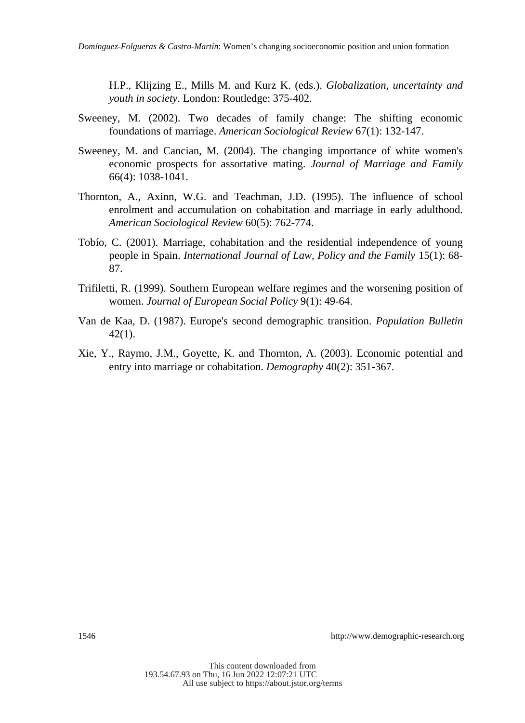H.P., Klijzing E., Mills M. and Kurz K. (eds.). *Globalization, uncertainty and youth in society*. London: Routledge: 375-402.

- Sweeney, M. (2002). Two decades of family change: The shifting economic foundations of marriage. *American Sociological Review* 67(1): 132-147.
- Sweeney, M. and Cancian, M. (2004). The changing importance of white women's economic prospects for assortative mating. *Journal of Marriage and Family* 66(4): 1038-1041.
- Thornton, A., Axinn, W.G. and Teachman, J.D. (1995). The influence of school enrolment and accumulation on cohabitation and marriage in early adulthood. *American Sociological Review* 60(5): 762-774.
- Tobío, C. (2001). Marriage, cohabitation and the residential independence of young people in Spain. *International Journal of Law, Policy and the Family* 15(1): 68- 87.
- Trifiletti, R. (1999). Southern European welfare regimes and the worsening position of women. *Journal of European Social Policy* 9(1): 49-64.
- Van de Kaa, D. (1987). Europe's second demographic transition. *Population Bulletin* 42(1).
- Xie, Y., Raymo, J.M., Goyette, K. and Thornton, A. (2003). Economic potential and entry into marriage or cohabitation. *Demography* 40(2): 351-367.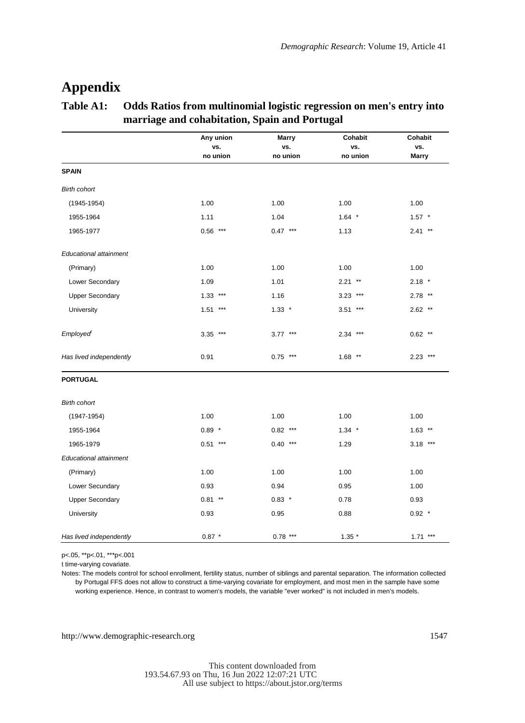### **Appendix**

#### **Table A1: Odds Ratios from multinomial logistic regression on men's entry into marriage and cohabitation, Spain and Portugal**

|                         | Any union<br>vs. | <b>Marry</b><br>vs. | <b>Cohabit</b><br>vs. | Cohabit<br>vs. |
|-------------------------|------------------|---------------------|-----------------------|----------------|
|                         | no union         | no union            | no union              | <b>Marry</b>   |
| <b>SPAIN</b>            |                  |                     |                       |                |
| <b>Birth cohort</b>     |                  |                     |                       |                |
| $(1945 - 1954)$         | 1.00             | 1.00                | 1.00                  | 1.00           |
| 1955-1964               | 1.11             | 1.04                | $1.64$ *              | $1.57$ *       |
| 1965-1977               | $0.56$ ***       | $0.47***$           | 1.13                  | $2.41$ **      |
| Educational attainment  |                  |                     |                       |                |
| (Primary)               | 1.00             | 1.00                | 1.00                  | 1.00           |
| Lower Secondary         | 1.09             | 1.01                | $2.21$ **             | $2.18$ *       |
| <b>Upper Secondary</b>  | 1.33<br>$***$    | 1.16                | $3.23$ ***            | $2.78$ **      |
| University              | $***$<br>1.51    | $1.33$ *            | $3.51***$             | $2.62$ **      |
| Employed                | $3.35$ ***       | $3.77***$           | $2.34***$             | $0.62$ **      |
| Has lived independently | 0.91             | $0.75$ ***          | $1.68$ **             | $2.23$ ***     |
| <b>PORTUGAL</b>         |                  |                     |                       |                |
| <b>Birth cohort</b>     |                  |                     |                       |                |
| $(1947 - 1954)$         | 1.00             | 1.00                | 1.00                  | 1.00           |
| 1955-1964               | $0.89$ *         | $0.82$ ***          | $1.34$ *              | $1.63$ **      |
| 1965-1979               | $0.51***$        | $0.40***$           | 1.29                  | $3.18***$      |
| Educational attainment  |                  |                     |                       |                |
| (Primary)               | 1.00             | 1.00                | 1.00                  | 1.00           |
| Lower Secundary         | 0.93             | 0.94                | 0.95                  | 1.00           |
| <b>Upper Secondary</b>  | $0.81***$        | $0.83$ *            | 0.78                  | 0.93           |
| University              | 0.93             | 0.95                | 0.88                  | $0.92$ *       |
| Has lived independently | $0.87 *$         | $0.78***$           | $1.35*$               | $1.71***$      |

p<.05, \*\*p<.01, \*\*\*p<.001

t time-varying covariate.

Notes: The models control for school enrollment, fertility status, number of siblings and parental separation. The information collected by Portugal FFS does not allow to construct a time-varying covariate for employment, and most men in the sample have some working experience. Hence, in contrast to women's models, the variable "ever worked" is not included in men's models.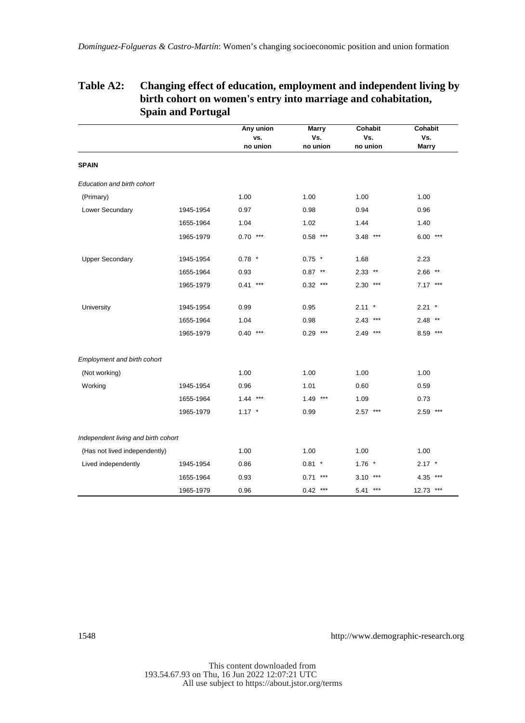|                                     |           | Any union | <b>Marry</b> | Cohabit    | Cohabit      |
|-------------------------------------|-----------|-----------|--------------|------------|--------------|
|                                     |           | vs.       | Vs.          | Vs.        | Vs.          |
|                                     |           | no union  | no union     | no union   | <b>Marry</b> |
| <b>SPAIN</b>                        |           |           |              |            |              |
| Education and birth cohort          |           |           |              |            |              |
| (Primary)                           |           | 1.00      | 1.00         | 1.00       | 1.00         |
| Lower Secundary                     | 1945-1954 | 0.97      | 0.98         | 0.94       | 0.96         |
|                                     | 1655-1964 | 1.04      | 1.02         | 1.44       | 1.40         |
|                                     | 1965-1979 | $0.70***$ | $0.58***$    | $3.48$ *** | $6.00***$    |
| <b>Upper Secondary</b>              | 1945-1954 | $0.78$ *  | $0.75$ *     | 1.68       | 2.23         |
|                                     | 1655-1964 | 0.93      | $0.87***$    | $2.33$ **  | $2.66$ **    |
|                                     | 1965-1979 | $0.41***$ | $0.32***$    | $2.30***$  | $7.17***$    |
| University                          | 1945-1954 | 0.99      | 0.95         | $2.11 *$   | $2.21$ *     |
|                                     | 1655-1964 | 1.04      | 0.98         | $2.43$ *** | $2.48$ **    |
|                                     | 1965-1979 | $0.40***$ | $0.29***$    | $2.49$ *** | 8.59 ***     |
| Employment and birth cohort         |           |           |              |            |              |
| (Not working)                       |           | 1.00      | 1.00         | 1.00       | 1.00         |
| Working                             | 1945-1954 | 0.96      | 1.01         | 0.60       | 0.59         |
|                                     | 1655-1964 | $1.44***$ | $1.49$ ***   | 1.09       | 0.73         |
|                                     | 1965-1979 | $1.17$ *  | 0.99         | $2.57***$  | $2.59$ ***   |
| Independent living and birth cohort |           |           |              |            |              |
| (Has not lived independently)       |           | 1.00      | 1.00         | 1.00       | 1.00         |
| Lived independently                 | 1945-1954 | 0.86      | $0.81$ *     | $1.76$ *   | $2.17$ *     |
|                                     | 1655-1964 | 0.93      | $0.71***$    | $3.10***$  | 4.35 ***     |
|                                     | 1965-1979 | 0.96      | $0.42$ ***   | $5.41***$  | 12.73 ***    |

#### **Table A2: Changing effect of education, employment and independent living by birth cohort on women's entry into marriage and cohabitation, Spain and Portugal**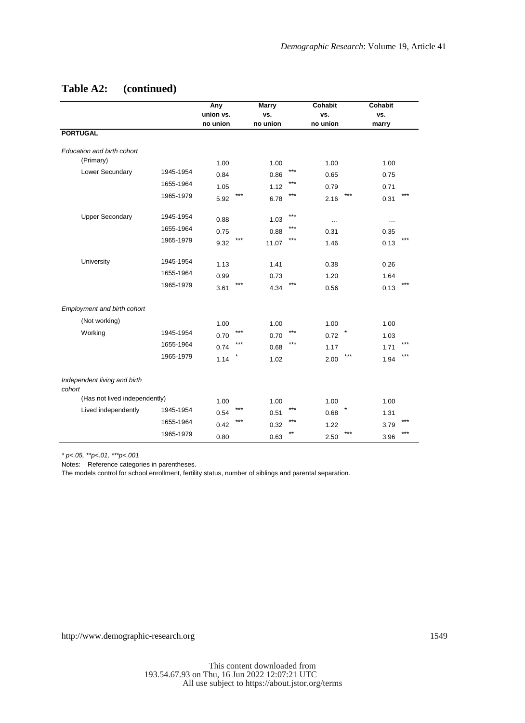|                                        |           | Any       |       | <b>Marry</b> |              | <b>Cohabit</b> |         | <b>Cohabit</b> |     |
|----------------------------------------|-----------|-----------|-------|--------------|--------------|----------------|---------|----------------|-----|
|                                        |           | union vs. |       | vs.          |              | VS.            |         | VS.            |     |
|                                        |           | no union  |       | no union     |              | no union       |         | marry          |     |
| <b>PORTUGAL</b>                        |           |           |       |              |              |                |         |                |     |
| Education and birth cohort             |           |           |       |              |              |                |         |                |     |
| (Primary)                              |           | 1.00      |       | 1.00         |              | 1.00           |         | 1.00           |     |
| Lower Secundary                        | 1945-1954 | 0.84      |       | 0.86         | $***$        | 0.65           |         | 0.75           |     |
|                                        | 1655-1964 | 1.05      |       | 1.12         | $***$        | 0.79           |         | 0.71           |     |
|                                        | 1965-1979 | 5.92      | ***   | 6.78         | ***          | 2.16           | $***$   | 0.31           | *** |
|                                        |           |           |       |              |              |                |         |                |     |
| <b>Upper Secondary</b>                 | 1945-1954 | 0.88      |       | 1.03         | $***$        | $\cdots$       |         | $\cdots$       |     |
|                                        | 1655-1964 | 0.75      |       | 0.88         | ***          | 0.31           |         | 0.35           |     |
|                                        | 1965-1979 | 9.32      | ***   | 11.07        | $***$        | 1.46           |         | 0.13           | *** |
| University                             | 1945-1954 |           |       |              |              |                |         |                |     |
|                                        |           | 1.13      |       | 1.41         |              | 0.38           |         | 0.26           |     |
|                                        | 1655-1964 | 0.99      | $***$ | 0.73         |              | 1.20           |         | 1.64           | *** |
|                                        | 1965-1979 | 3.61      |       | 4.34         | $***$        | 0.56           |         | 0.13           |     |
| Employment and birth cohort            |           |           |       |              |              |                |         |                |     |
| (Not working)                          |           | 1.00      |       | 1.00         |              | 1.00           |         | 1.00           |     |
| Working                                | 1945-1954 | 0.70      | ***   | 0.70         | $***$        | 0.72           | $\star$ | 1.03           |     |
|                                        | 1655-1964 | 0.74      | ***   | 0.68         | ***          | 1.17           |         | 1.71           | *** |
|                                        | 1965-1979 | 1.14      |       | 1.02         |              | 2.00           | ***     | 1.94           | *** |
|                                        |           |           |       |              |              |                |         |                |     |
| Independent living and birth<br>cohort |           |           |       |              |              |                |         |                |     |
| (Has not lived independently)          |           | 1.00      |       | 1.00         |              | 1.00           |         | 1.00           |     |
| Lived independently                    | 1945-1954 | 0.54      | ***   | 0.51         | $***$        | 0.68           | ×       | 1.31           |     |
|                                        | 1655-1964 | 0.42      | ***   |              | $***$        | 1.22           |         |                | *** |
|                                        | 1965-1979 |           |       | 0.32         | $\star\star$ |                | ***     | 3.79           | *** |
|                                        |           | 0.80      |       | 0.63         |              | 2.50           |         | 3.96           |     |

*\* p<.05, \*\*p<.01, \*\*\*p<.001*

Notes: Reference categories in parentheses.

The models control for school enrollment, fertility status, number of siblings and parental separation.